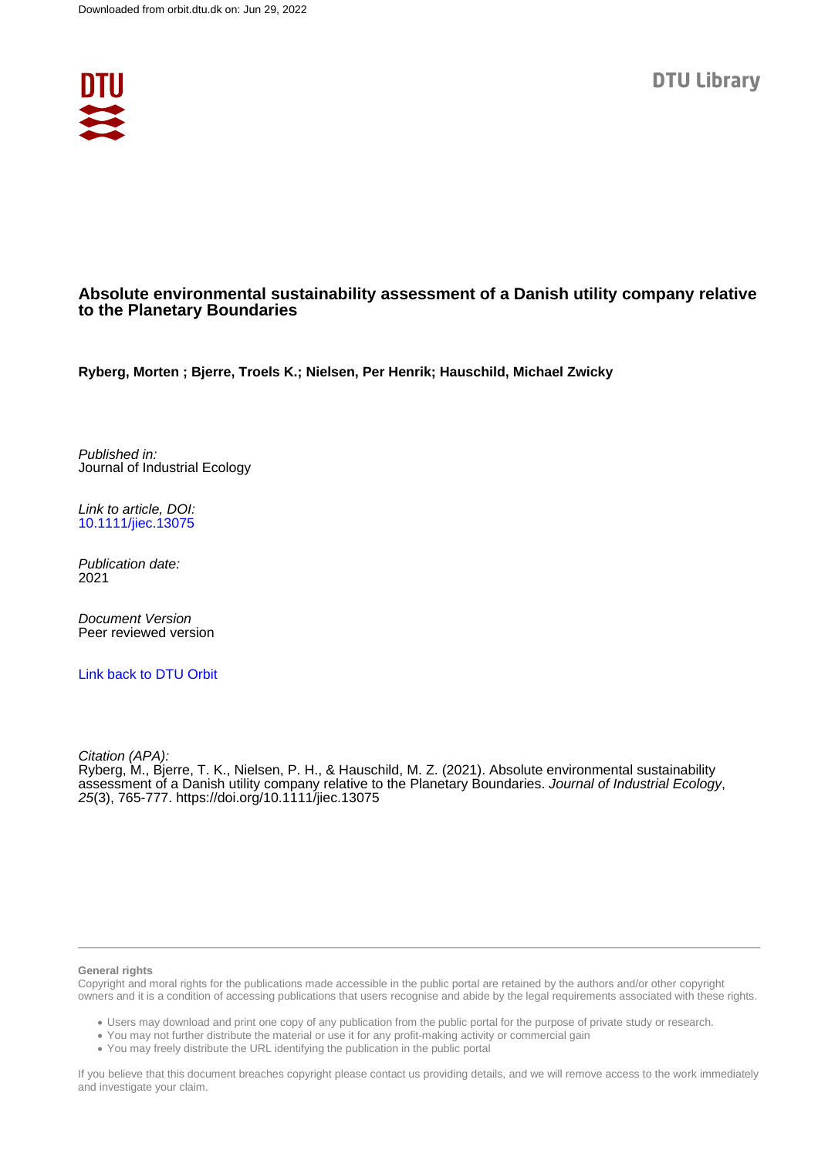

## **Absolute environmental sustainability assessment of a Danish utility company relative to the Planetary Boundaries**

**Ryberg, Morten ; Bjerre, Troels K.; Nielsen, Per Henrik; Hauschild, Michael Zwicky**

Published in: Journal of Industrial Ecology

Link to article, DOI: [10.1111/jiec.13075](https://doi.org/10.1111/jiec.13075)

Publication date: 2021

Document Version Peer reviewed version

[Link back to DTU Orbit](https://orbit.dtu.dk/en/publications/8060fb96-0384-4dc1-85db-e0093498ff0d)

Citation (APA): Ryberg, M., Bjerre, T. K., Nielsen, P. H., & Hauschild, M. Z. (2021). Absolute environmental sustainability assessment of a Danish utility company relative to the Planetary Boundaries. Journal of Industrial Ecology, 25(3), 765-777.<https://doi.org/10.1111/jiec.13075>

#### **General rights**

Copyright and moral rights for the publications made accessible in the public portal are retained by the authors and/or other copyright owners and it is a condition of accessing publications that users recognise and abide by the legal requirements associated with these rights.

Users may download and print one copy of any publication from the public portal for the purpose of private study or research.

- You may not further distribute the material or use it for any profit-making activity or commercial gain
- You may freely distribute the URL identifying the publication in the public portal

If you believe that this document breaches copyright please contact us providing details, and we will remove access to the work immediately and investigate your claim.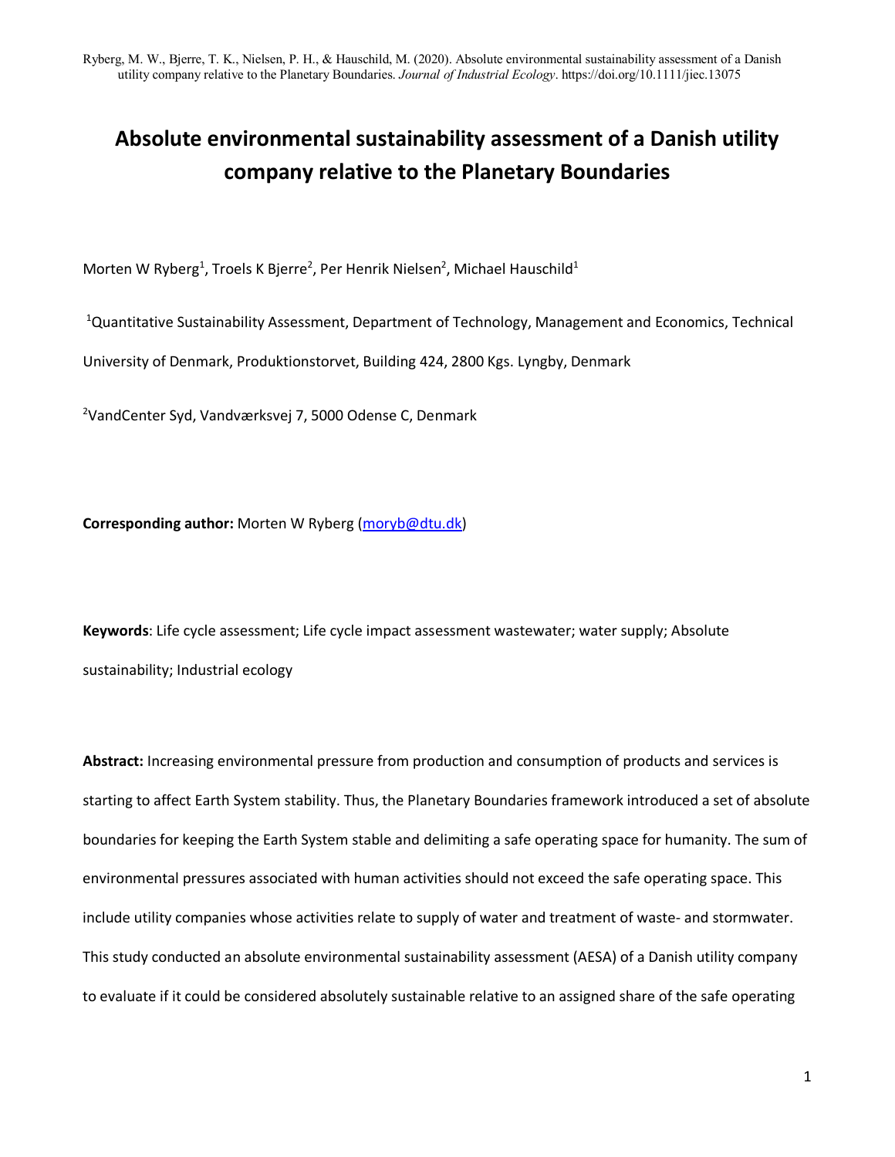# **Absolute environmental sustainability assessment of a Danish utility company relative to the Planetary Boundaries**

Morten W Ryberg<sup>1</sup>, Troels K Bjerre<sup>2</sup>, Per Henrik Nielsen<sup>2</sup>, Michael Hauschild<sup>1</sup>

<sup>1</sup>Quantitative Sustainability Assessment, Department of Technology, Management and Economics, Technical University of Denmark, Produktionstorvet, Building 424, 2800 Kgs. Lyngby, Denmark

<sup>2</sup>VandCenter Syd, Vandværksvej 7, 5000 Odense C, Denmark

**Corresponding author:** Morten W Ryberg [\(moryb@dtu.dk\)](mailto:moryb@dtu.dk)

**Keywords**: Life cycle assessment; Life cycle impact assessment wastewater; water supply; Absolute sustainability; Industrial ecology

**Abstract:** Increasing environmental pressure from production and consumption of products and services is starting to affect Earth System stability. Thus, the Planetary Boundaries framework introduced a set of absolute boundaries for keeping the Earth System stable and delimiting a safe operating space for humanity. The sum of environmental pressures associated with human activities should not exceed the safe operating space. This include utility companies whose activities relate to supply of water and treatment of waste- and stormwater. This study conducted an absolute environmental sustainability assessment (AESA) of a Danish utility company to evaluate if it could be considered absolutely sustainable relative to an assigned share of the safe operating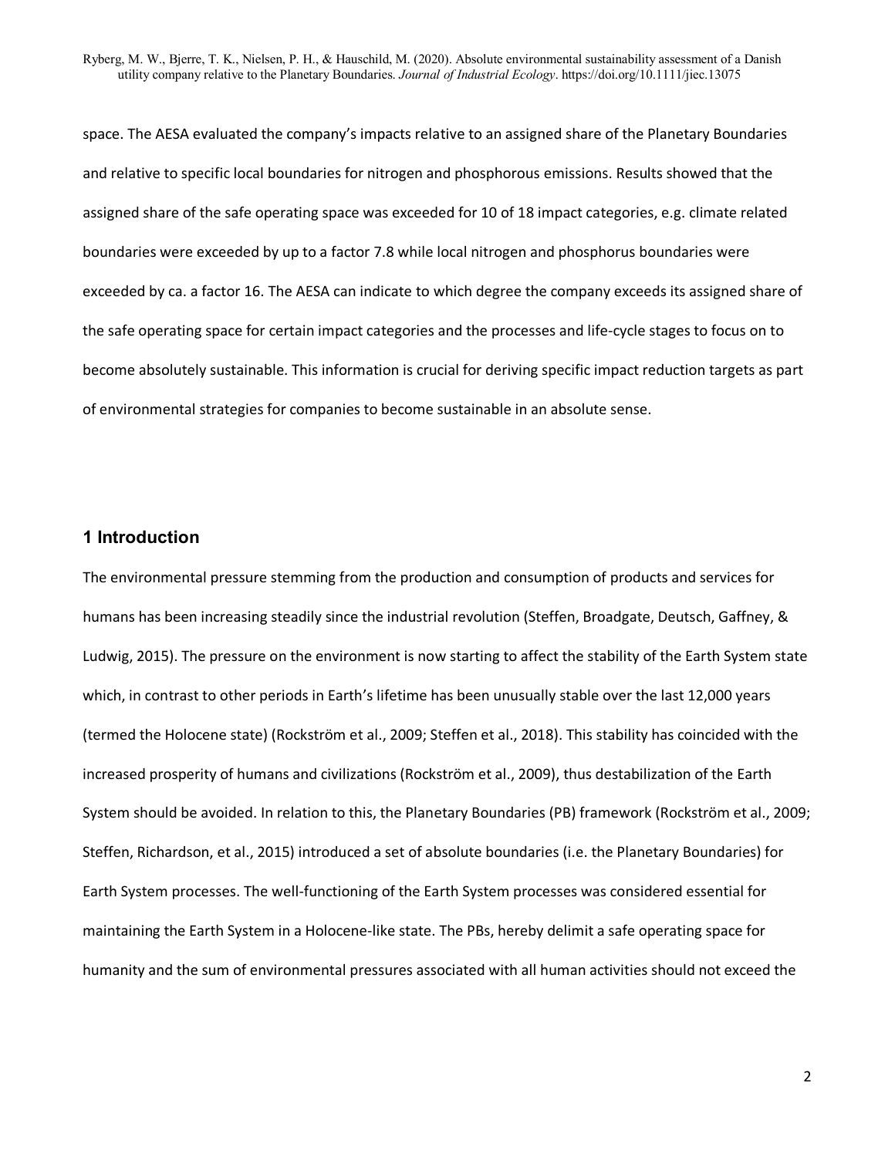space. The AESA evaluated the company's impacts relative to an assigned share of the Planetary Boundaries and relative to specific local boundaries for nitrogen and phosphorous emissions. Results showed that the assigned share of the safe operating space was exceeded for 10 of 18 impact categories, e.g. climate related boundaries were exceeded by up to a factor 7.8 while local nitrogen and phosphorus boundaries were exceeded by ca. a factor 16. The AESA can indicate to which degree the company exceeds its assigned share of the safe operating space for certain impact categories and the processes and life-cycle stages to focus on to become absolutely sustainable. This information is crucial for deriving specific impact reduction targets as part of environmental strategies for companies to become sustainable in an absolute sense.

## **1 Introduction**

The environmental pressure stemming from the production and consumption of products and services for humans has been increasing steadily since the industrial revolution (Steffen, Broadgate, Deutsch, Gaffney, & Ludwig, 2015). The pressure on the environment is now starting to affect the stability of the Earth System state which, in contrast to other periods in Earth's lifetime has been unusually stable over the last 12,000 years (termed the Holocene state) (Rockström et al., 2009; Steffen et al., 2018). This stability has coincided with the increased prosperity of humans and civilizations (Rockström et al., 2009), thus destabilization of the Earth System should be avoided. In relation to this, the Planetary Boundaries (PB) framework (Rockström et al., 2009; Steffen, Richardson, et al., 2015) introduced a set of absolute boundaries (i.e. the Planetary Boundaries) for Earth System processes. The well-functioning of the Earth System processes was considered essential for maintaining the Earth System in a Holocene-like state. The PBs, hereby delimit a safe operating space for humanity and the sum of environmental pressures associated with all human activities should not exceed the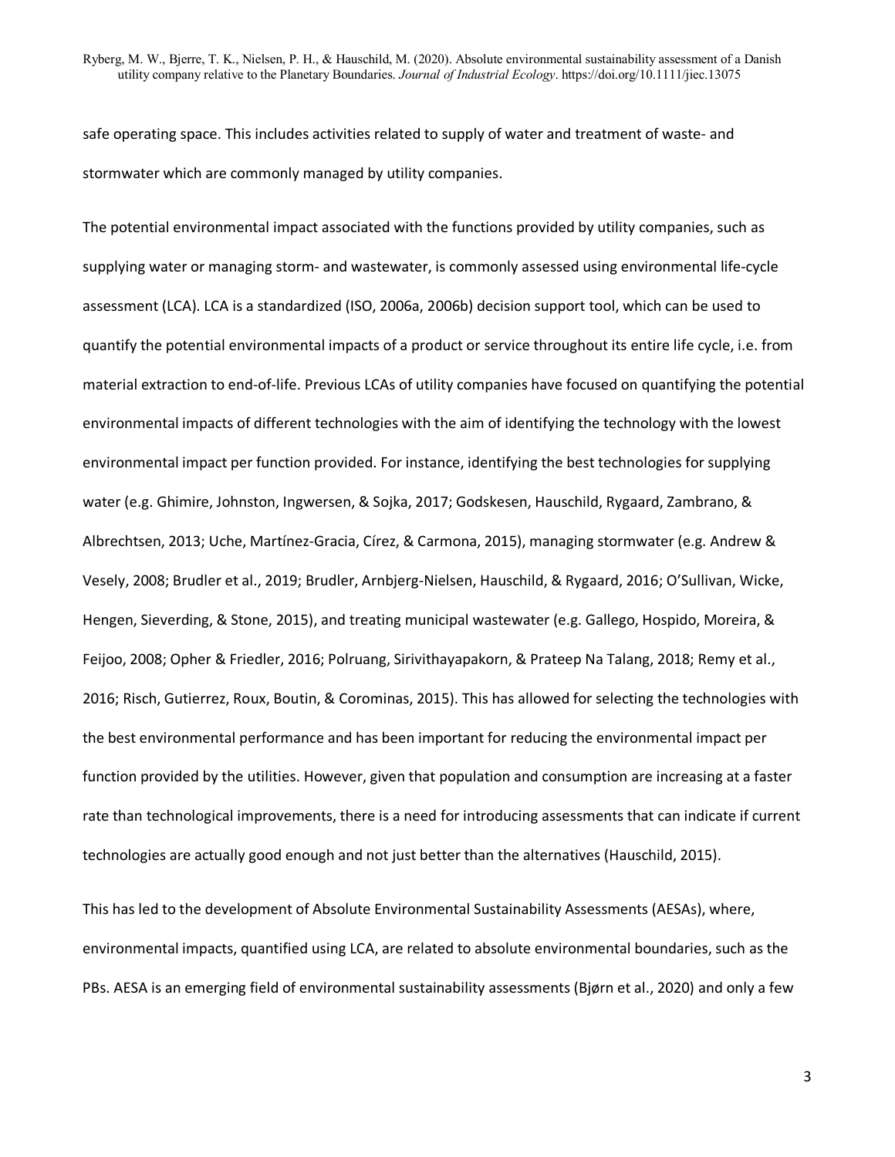safe operating space. This includes activities related to supply of water and treatment of waste- and stormwater which are commonly managed by utility companies.

The potential environmental impact associated with the functions provided by utility companies, such as supplying water or managing storm- and wastewater, is commonly assessed using environmental life-cycle assessment (LCA). LCA is a standardized (ISO, 2006a, 2006b) decision support tool, which can be used to quantify the potential environmental impacts of a product or service throughout its entire life cycle, i.e. from material extraction to end-of-life. Previous LCAs of utility companies have focused on quantifying the potential environmental impacts of different technologies with the aim of identifying the technology with the lowest environmental impact per function provided. For instance, identifying the best technologies for supplying water (e.g. Ghimire, Johnston, Ingwersen, & Sojka, 2017; Godskesen, Hauschild, Rygaard, Zambrano, & Albrechtsen, 2013; Uche, Martínez-Gracia, Círez, & Carmona, 2015), managing stormwater (e.g. Andrew & Vesely, 2008; Brudler et al., 2019; Brudler, Arnbjerg-Nielsen, Hauschild, & Rygaard, 2016; O'Sullivan, Wicke, Hengen, Sieverding, & Stone, 2015), and treating municipal wastewater (e.g. Gallego, Hospido, Moreira, & Feijoo, 2008; Opher & Friedler, 2016; Polruang, Sirivithayapakorn, & Prateep Na Talang, 2018; Remy et al., 2016; Risch, Gutierrez, Roux, Boutin, & Corominas, 2015). This has allowed for selecting the technologies with the best environmental performance and has been important for reducing the environmental impact per function provided by the utilities. However, given that population and consumption are increasing at a faster rate than technological improvements, there is a need for introducing assessments that can indicate if current technologies are actually good enough and not just better than the alternatives (Hauschild, 2015).

This has led to the development of Absolute Environmental Sustainability Assessments (AESAs), where, environmental impacts, quantified using LCA, are related to absolute environmental boundaries, such as the PBs. AESA is an emerging field of environmental sustainability assessments (Bjørn et al., 2020) and only a few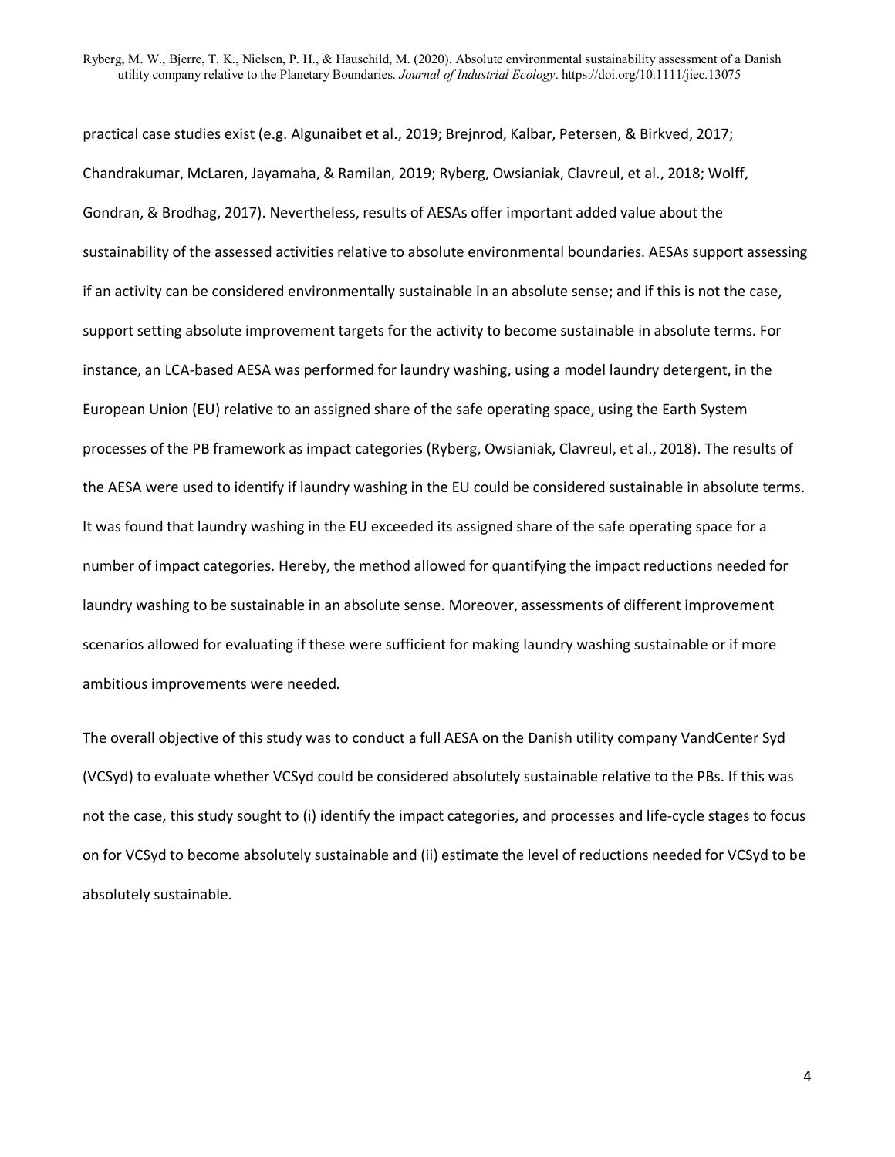practical case studies exist (e.g. Algunaibet et al., 2019; Brejnrod, Kalbar, Petersen, & Birkved, 2017; Chandrakumar, McLaren, Jayamaha, & Ramilan, 2019; Ryberg, Owsianiak, Clavreul, et al., 2018; Wolff, Gondran, & Brodhag, 2017). Nevertheless, results of AESAs offer important added value about the sustainability of the assessed activities relative to absolute environmental boundaries. AESAs support assessing if an activity can be considered environmentally sustainable in an absolute sense; and if this is not the case, support setting absolute improvement targets for the activity to become sustainable in absolute terms. For instance, an LCA-based AESA was performed for laundry washing, using a model laundry detergent, in the European Union (EU) relative to an assigned share of the safe operating space, using the Earth System processes of the PB framework as impact categories (Ryberg, Owsianiak, Clavreul, et al., 2018). The results of the AESA were used to identify if laundry washing in the EU could be considered sustainable in absolute terms. It was found that laundry washing in the EU exceeded its assigned share of the safe operating space for a number of impact categories. Hereby, the method allowed for quantifying the impact reductions needed for laundry washing to be sustainable in an absolute sense. Moreover, assessments of different improvement scenarios allowed for evaluating if these were sufficient for making laundry washing sustainable or if more ambitious improvements were needed.

The overall objective of this study was to conduct a full AESA on the Danish utility company VandCenter Syd (VCSyd) to evaluate whether VCSyd could be considered absolutely sustainable relative to the PBs. If this was not the case, this study sought to (i) identify the impact categories, and processes and life-cycle stages to focus on for VCSyd to become absolutely sustainable and (ii) estimate the level of reductions needed for VCSyd to be absolutely sustainable.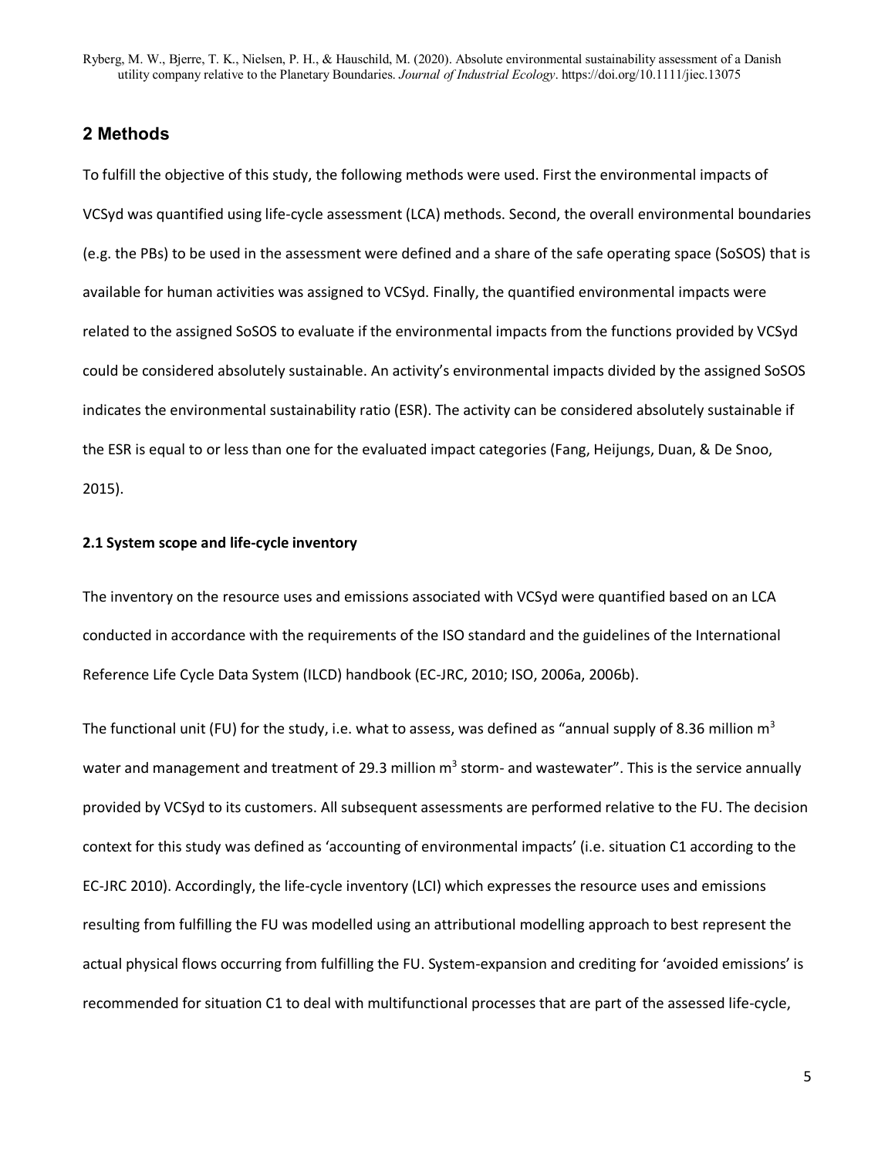## **2 Methods**

To fulfill the objective of this study, the following methods were used. First the environmental impacts of VCSyd was quantified using life-cycle assessment (LCA) methods. Second, the overall environmental boundaries (e.g. the PBs) to be used in the assessment were defined and a share of the safe operating space (SoSOS) that is available for human activities was assigned to VCSyd. Finally, the quantified environmental impacts were related to the assigned SoSOS to evaluate if the environmental impacts from the functions provided by VCSyd could be considered absolutely sustainable. An activity's environmental impacts divided by the assigned SoSOS indicates the environmental sustainability ratio (ESR). The activity can be considered absolutely sustainable if the ESR is equal to or less than one for the evaluated impact categories (Fang, Heijungs, Duan, & De Snoo, 2015).

#### **2.1 System scope and life-cycle inventory**

The inventory on the resource uses and emissions associated with VCSyd were quantified based on an LCA conducted in accordance with the requirements of the ISO standard and the guidelines of the International Reference Life Cycle Data System (ILCD) handbook (EC-JRC, 2010; ISO, 2006a, 2006b).

The functional unit (FU) for the study, i.e. what to assess, was defined as "annual supply of 8.36 million  $m<sup>3</sup>$ water and management and treatment of 29.3 million  $m<sup>3</sup>$  storm- and wastewater". This is the service annually provided by VCSyd to its customers. All subsequent assessments are performed relative to the FU. The decision context for this study was defined as 'accounting of environmental impacts' (i.e. situation C1 according to the EC-JRC 2010). Accordingly, the life-cycle inventory (LCI) which expresses the resource uses and emissions resulting from fulfilling the FU was modelled using an attributional modelling approach to best represent the actual physical flows occurring from fulfilling the FU. System-expansion and crediting for 'avoided emissions' is recommended for situation C1 to deal with multifunctional processes that are part of the assessed life-cycle,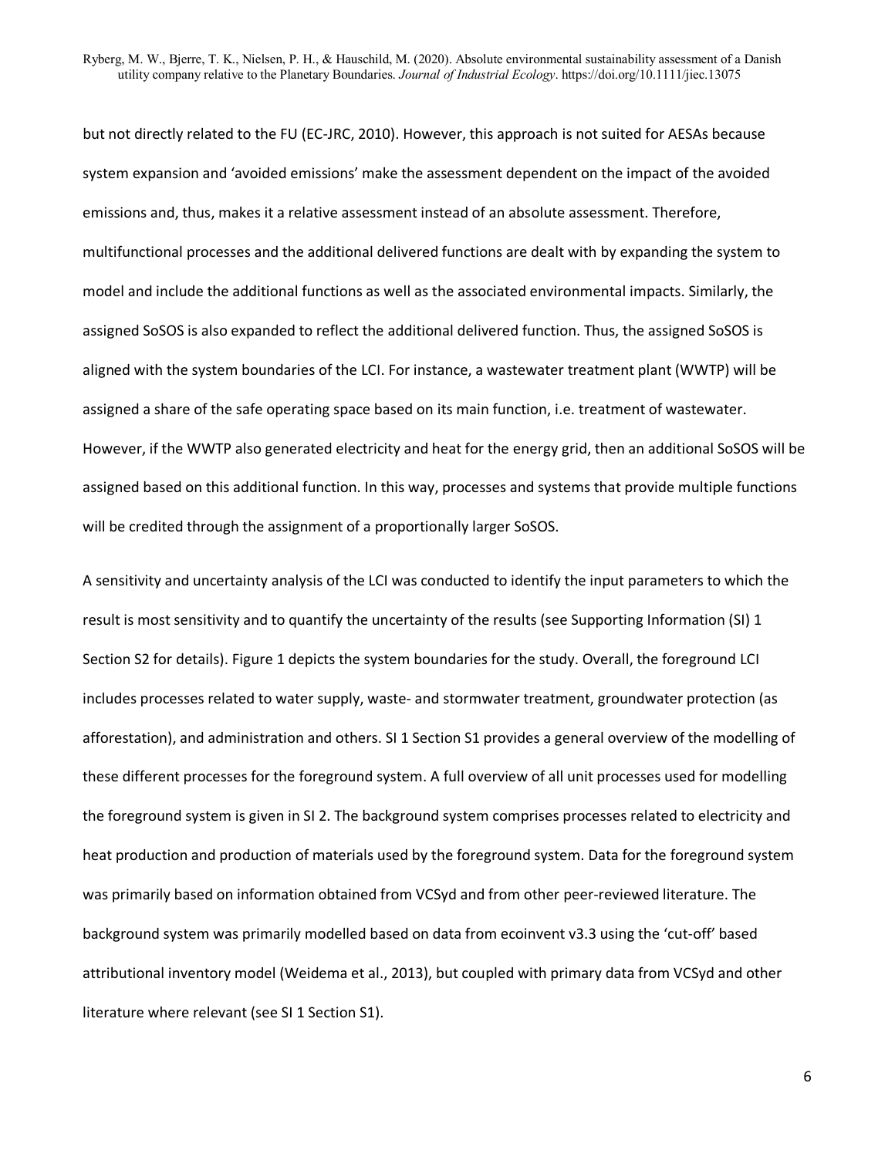but not directly related to the FU (EC-JRC, 2010). However, this approach is not suited for AESAs because system expansion and 'avoided emissions' make the assessment dependent on the impact of the avoided emissions and, thus, makes it a relative assessment instead of an absolute assessment. Therefore, multifunctional processes and the additional delivered functions are dealt with by expanding the system to model and include the additional functions as well as the associated environmental impacts. Similarly, the assigned SoSOS is also expanded to reflect the additional delivered function. Thus, the assigned SoSOS is aligned with the system boundaries of the LCI. For instance, a wastewater treatment plant (WWTP) will be assigned a share of the safe operating space based on its main function, i.e. treatment of wastewater. However, if the WWTP also generated electricity and heat for the energy grid, then an additional SoSOS will be assigned based on this additional function. In this way, processes and systems that provide multiple functions will be credited through the assignment of a proportionally larger SoSOS.

A sensitivity and uncertainty analysis of the LCI was conducted to identify the input parameters to which the result is most sensitivity and to quantify the uncertainty of the results (see Supporting Information (SI) 1 Section S2 for details). Figure 1 depicts the system boundaries for the study. Overall, the foreground LCI includes processes related to water supply, waste- and stormwater treatment, groundwater protection (as afforestation), and administration and others. SI 1 Section S1 provides a general overview of the modelling of these different processes for the foreground system. A full overview of all unit processes used for modelling the foreground system is given in SI 2. The background system comprises processes related to electricity and heat production and production of materials used by the foreground system. Data for the foreground system was primarily based on information obtained from VCSyd and from other peer-reviewed literature. The background system was primarily modelled based on data from ecoinvent v3.3 using the 'cut-off' based attributional inventory model (Weidema et al., 2013), but coupled with primary data from VCSyd and other literature where relevant (see SI 1 Section S1).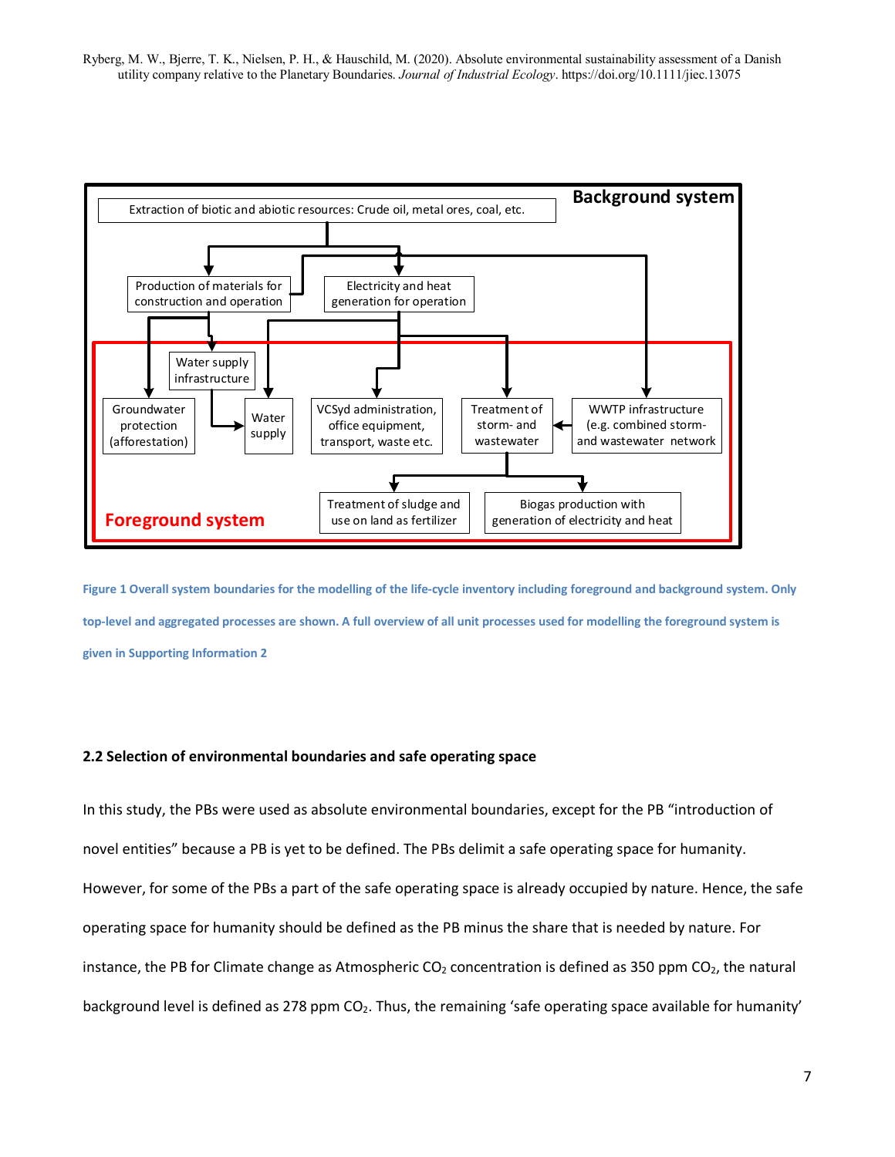

**Figure 1 Overall system boundaries for the modelling of the life-cycle inventory including foreground and background system. Only top-level and aggregated processes are shown. A full overview of all unit processes used for modelling the foreground system is given in Supporting Information 2** 

#### **2.2 Selection of environmental boundaries and safe operating space**

In this study, the PBs were used as absolute environmental boundaries, except for the PB "introduction of novel entities" because a PB is yet to be defined. The PBs delimit a safe operating space for humanity. However, for some of the PBs a part of the safe operating space is already occupied by nature. Hence, the safe operating space for humanity should be defined as the PB minus the share that is needed by nature. For instance, the PB for Climate change as Atmospheric  $CO<sub>2</sub>$  concentration is defined as 350 ppm  $CO<sub>2</sub>$ , the natural background level is defined as 278 ppm  $CO<sub>2</sub>$ . Thus, the remaining 'safe operating space available for humanity'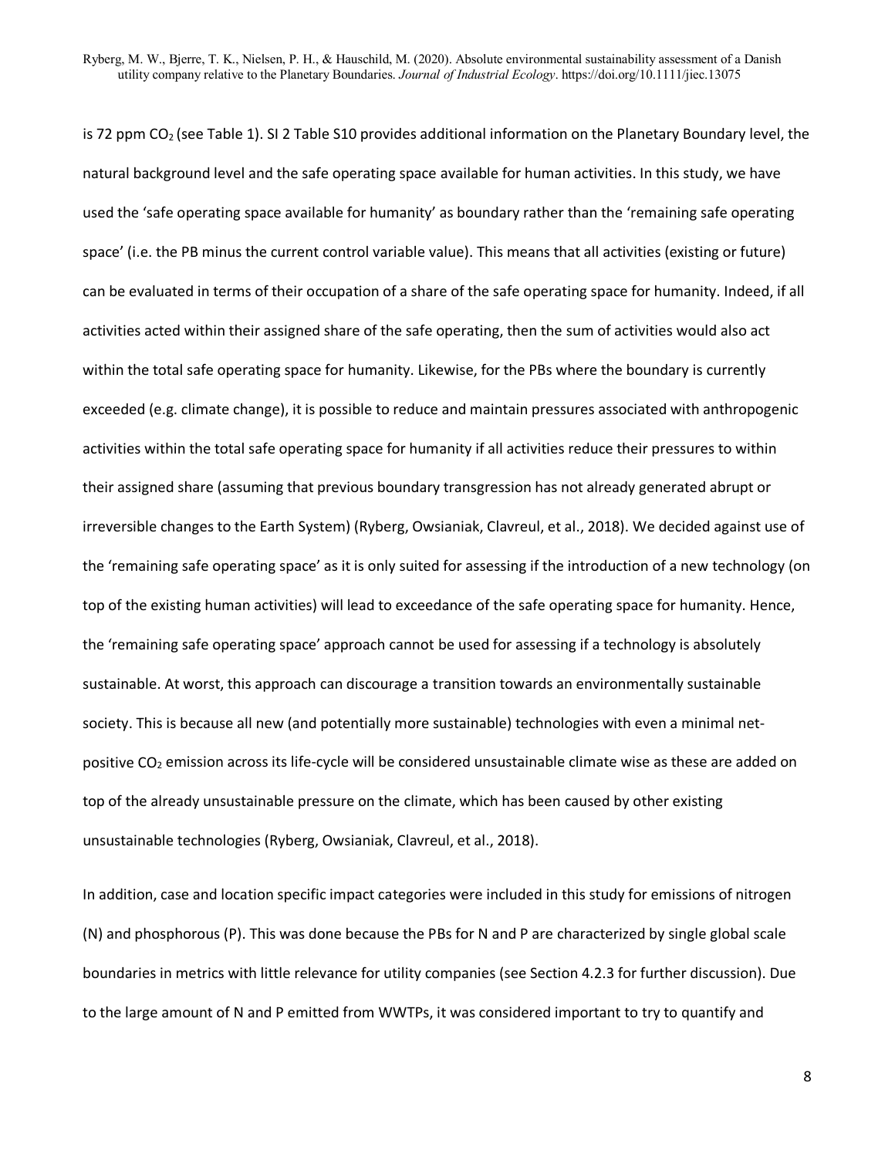is 72 ppm CO<sub>2</sub> (see Table 1). SI 2 Table S10 provides additional information on the Planetary Boundary level, the natural background level and the safe operating space available for human activities. In this study, we have used the 'safe operating space available for humanity' as boundary rather than the 'remaining safe operating space' (i.e. the PB minus the current control variable value). This means that all activities (existing or future) can be evaluated in terms of their occupation of a share of the safe operating space for humanity. Indeed, if all activities acted within their assigned share of the safe operating, then the sum of activities would also act within the total safe operating space for humanity. Likewise, for the PBs where the boundary is currently exceeded (e.g. climate change), it is possible to reduce and maintain pressures associated with anthropogenic activities within the total safe operating space for humanity if all activities reduce their pressures to within their assigned share (assuming that previous boundary transgression has not already generated abrupt or irreversible changes to the Earth System) (Ryberg, Owsianiak, Clavreul, et al., 2018). We decided against use of the 'remaining safe operating space' as it is only suited for assessing if the introduction of a new technology (on top of the existing human activities) will lead to exceedance of the safe operating space for humanity. Hence, the 'remaining safe operating space' approach cannot be used for assessing if a technology is absolutely sustainable. At worst, this approach can discourage a transition towards an environmentally sustainable society. This is because all new (and potentially more sustainable) technologies with even a minimal netpositive CO<sub>2</sub> emission across its life-cycle will be considered unsustainable climate wise as these are added on top of the already unsustainable pressure on the climate, which has been caused by other existing unsustainable technologies (Ryberg, Owsianiak, Clavreul, et al., 2018).

In addition, case and location specific impact categories were included in this study for emissions of nitrogen (N) and phosphorous (P). This was done because the PBs for N and P are characterized by single global scale boundaries in metrics with little relevance for utility companies (see Section 4.2.3 for further discussion). Due to the large amount of N and P emitted from WWTPs, it was considered important to try to quantify and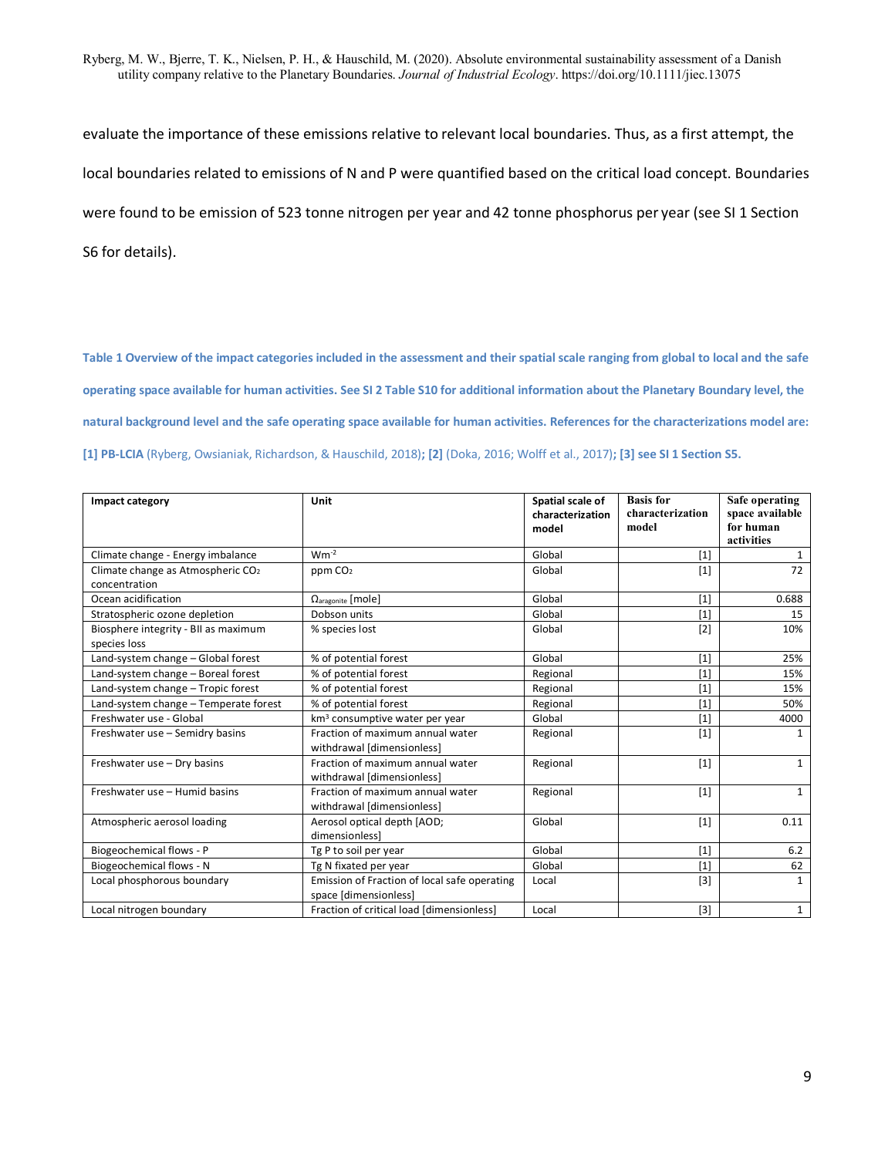evaluate the importance of these emissions relative to relevant local boundaries. Thus, as a first attempt, the local boundaries related to emissions of N and P were quantified based on the critical load concept. Boundaries were found to be emission of 523 tonne nitrogen per year and 42 tonne phosphorus per year (see SI 1 Section S6 for details).

**Table 1 Overview of the impact categories included in the assessment and their spatial scale ranging from global to local and the safe operating space available for human activities. See SI 2 Table S10 for additional information about the Planetary Boundary level, the natural background level and the safe operating space available for human activities. References for the characterizations model are: [1] PB-LCIA** (Ryberg, Owsianiak, Richardson, & Hauschild, 2018)**; [2]** (Doka, 2016; Wolff et al., 2017)**; [3] see SI 1 Section S5.**

| Impact category                                                | Unit                                                                  | Spatial scale of<br>characterization<br>model | <b>Basis</b> for<br>characterization<br>model | Safe operating<br>space available<br>for human<br>activities |
|----------------------------------------------------------------|-----------------------------------------------------------------------|-----------------------------------------------|-----------------------------------------------|--------------------------------------------------------------|
| Climate change - Energy imbalance                              | $Wm^{-2}$                                                             | Global                                        | $[1]$                                         | $\mathbf{1}$                                                 |
| Climate change as Atmospheric CO <sub>2</sub><br>concentration | ppm CO <sub>2</sub>                                                   | Global                                        | $[1]$                                         | 72                                                           |
| Ocean acidification                                            | $\Omega$ <sub>aragonite</sub> [mole]                                  | Global                                        | $[1]$                                         | 0.688                                                        |
| Stratospheric ozone depletion                                  | Dobson units                                                          | Global                                        | $[1]$                                         | 15                                                           |
| Biosphere integrity - BII as maximum<br>species loss           | % species lost                                                        | Global                                        | $[2]$                                         | 10%                                                          |
| Land-system change - Global forest                             | % of potential forest                                                 | Global                                        | $[1]$                                         | 25%                                                          |
| Land-system change - Boreal forest                             | % of potential forest                                                 | Regional                                      | $[1]$                                         | 15%                                                          |
| Land-system change - Tropic forest                             | % of potential forest                                                 | Regional                                      | [1]                                           | 15%                                                          |
| Land-system change - Temperate forest                          | % of potential forest                                                 | Regional                                      | $[1]$                                         | 50%                                                          |
| Freshwater use - Global                                        | km <sup>3</sup> consumptive water per year                            | Global                                        | $[1]$                                         | 4000                                                         |
| Freshwater use - Semidry basins                                | Fraction of maximum annual water<br>withdrawal [dimensionless]        | Regional                                      | $[1]$                                         | 1                                                            |
| Freshwater use - Dry basins                                    | Fraction of maximum annual water<br>withdrawal [dimensionless]        | Regional                                      | $[1]$                                         | $\mathbf{1}$                                                 |
| Freshwater use - Humid basins                                  | Fraction of maximum annual water<br>withdrawal [dimensionless]        | Regional                                      | $[1]$                                         | $\mathbf{1}$                                                 |
| Atmospheric aerosol loading                                    | Aerosol optical depth [AOD;<br>dimensionlessl                         | Global                                        | $[1]$                                         | 0.11                                                         |
| Biogeochemical flows - P                                       | Tg P to soil per year                                                 | Global                                        | $[1]$                                         | 6.2                                                          |
| Biogeochemical flows - N                                       | Tg N fixated per year                                                 | Global                                        | $[1]$                                         | 62                                                           |
| Local phosphorous boundary                                     | Emission of Fraction of local safe operating<br>space [dimensionless] | Local                                         | $[3]$                                         | $\mathbf{1}$                                                 |
| Local nitrogen boundary                                        | Fraction of critical load [dimensionless]                             | Local                                         | $[3]$                                         | $\mathbf{1}$                                                 |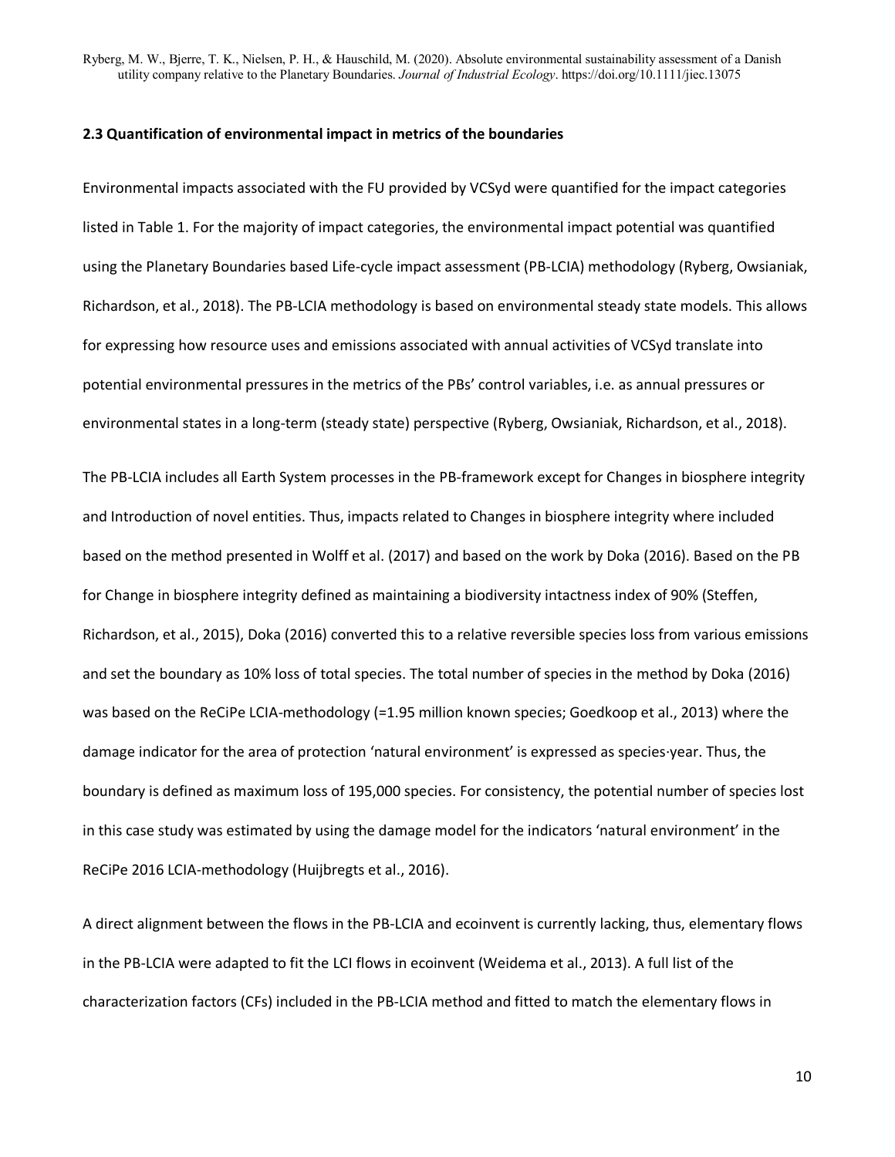#### **2.3 Quantification of environmental impact in metrics of the boundaries**

Environmental impacts associated with the FU provided by VCSyd were quantified for the impact categories listed in Table 1. For the majority of impact categories, the environmental impact potential was quantified using the Planetary Boundaries based Life-cycle impact assessment (PB-LCIA) methodology (Ryberg, Owsianiak, Richardson, et al., 2018). The PB-LCIA methodology is based on environmental steady state models. This allows for expressing how resource uses and emissions associated with annual activities of VCSyd translate into potential environmental pressures in the metrics of the PBs' control variables, i.e. as annual pressures or environmental states in a long-term (steady state) perspective (Ryberg, Owsianiak, Richardson, et al., 2018).

The PB-LCIA includes all Earth System processes in the PB-framework except for Changes in biosphere integrity and Introduction of novel entities. Thus, impacts related to Changes in biosphere integrity where included based on the method presented in Wolff et al. (2017) and based on the work by Doka (2016). Based on the PB for Change in biosphere integrity defined as maintaining a biodiversity intactness index of 90% (Steffen, Richardson, et al., 2015), Doka (2016) converted this to a relative reversible species loss from various emissions and set the boundary as 10% loss of total species. The total number of species in the method by Doka (2016) was based on the ReCiPe LCIA-methodology (=1.95 million known species; Goedkoop et al., 2013) where the damage indicator for the area of protection 'natural environment' is expressed as species∙year. Thus, the boundary is defined as maximum loss of 195,000 species. For consistency, the potential number of species lost in this case study was estimated by using the damage model for the indicators 'natural environment' in the ReCiPe 2016 LCIA-methodology (Huijbregts et al., 2016).

A direct alignment between the flows in the PB-LCIA and ecoinvent is currently lacking, thus, elementary flows in the PB-LCIA were adapted to fit the LCI flows in ecoinvent (Weidema et al., 2013). A full list of the characterization factors (CFs) included in the PB-LCIA method and fitted to match the elementary flows in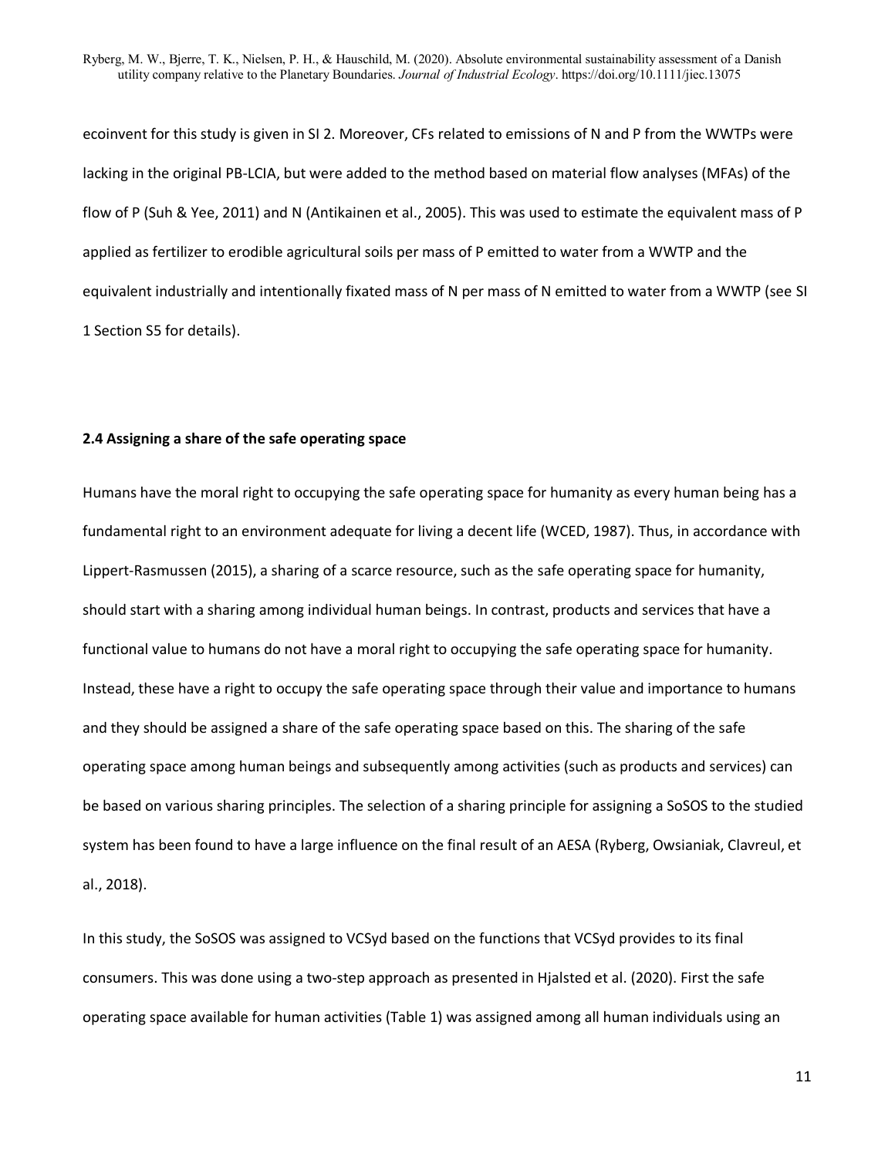ecoinvent for this study is given in SI 2. Moreover, CFs related to emissions of N and P from the WWTPs were lacking in the original PB-LCIA, but were added to the method based on material flow analyses (MFAs) of the flow of P (Suh & Yee, 2011) and N (Antikainen et al., 2005). This was used to estimate the equivalent mass of P applied as fertilizer to erodible agricultural soils per mass of P emitted to water from a WWTP and the equivalent industrially and intentionally fixated mass of N per mass of N emitted to water from a WWTP (see SI 1 Section S5 for details).

### **2.4 Assigning a share of the safe operating space**

Humans have the moral right to occupying the safe operating space for humanity as every human being has a fundamental right to an environment adequate for living a decent life (WCED, 1987). Thus, in accordance with Lippert-Rasmussen (2015), a sharing of a scarce resource, such as the safe operating space for humanity, should start with a sharing among individual human beings. In contrast, products and services that have a functional value to humans do not have a moral right to occupying the safe operating space for humanity. Instead, these have a right to occupy the safe operating space through their value and importance to humans and they should be assigned a share of the safe operating space based on this. The sharing of the safe operating space among human beings and subsequently among activities (such as products and services) can be based on various sharing principles. The selection of a sharing principle for assigning a SoSOS to the studied system has been found to have a large influence on the final result of an AESA (Ryberg, Owsianiak, Clavreul, et al., 2018).

In this study, the SoSOS was assigned to VCSyd based on the functions that VCSyd provides to its final consumers. This was done using a two-step approach as presented in Hjalsted et al. (2020). First the safe operating space available for human activities (Table 1) was assigned among all human individuals using an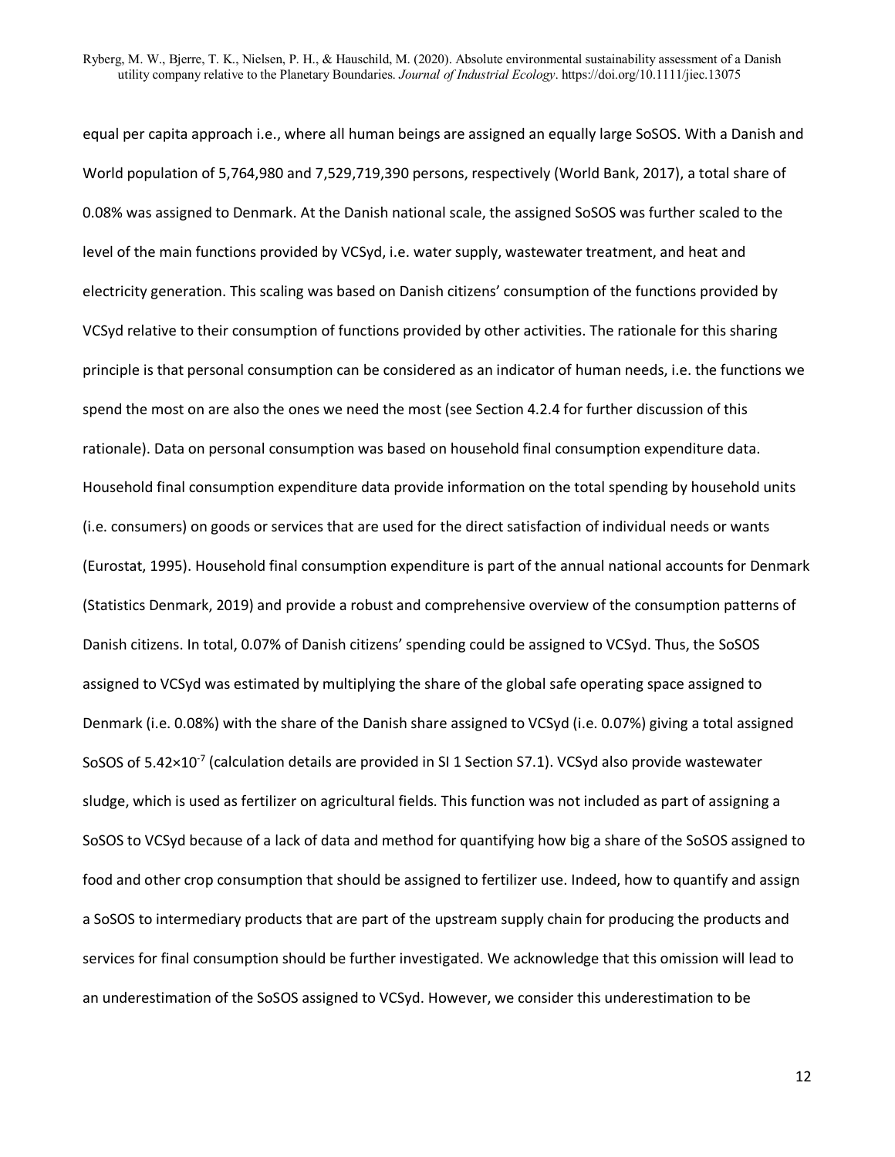equal per capita approach i.e., where all human beings are assigned an equally large SoSOS. With a Danish and World population of 5,764,980 and 7,529,719,390 persons, respectively (World Bank, 2017), a total share of 0.08% was assigned to Denmark. At the Danish national scale, the assigned SoSOS was further scaled to the level of the main functions provided by VCSyd, i.e. water supply, wastewater treatment, and heat and electricity generation. This scaling was based on Danish citizens' consumption of the functions provided by VCSyd relative to their consumption of functions provided by other activities. The rationale for this sharing principle is that personal consumption can be considered as an indicator of human needs, i.e. the functions we spend the most on are also the ones we need the most (see Section 4.2.4 for further discussion of this rationale). Data on personal consumption was based on household final consumption expenditure data. Household final consumption expenditure data provide information on the total spending by household units (i.e. consumers) on goods or services that are used for the direct satisfaction of individual needs or wants (Eurostat, 1995). Household final consumption expenditure is part of the annual national accounts for Denmark (Statistics Denmark, 2019) and provide a robust and comprehensive overview of the consumption patterns of Danish citizens. In total, 0.07% of Danish citizens' spending could be assigned to VCSyd. Thus, the SoSOS assigned to VCSyd was estimated by multiplying the share of the global safe operating space assigned to Denmark (i.e. 0.08%) with the share of the Danish share assigned to VCSyd (i.e. 0.07%) giving a total assigned SoSOS of  $5.42\times10^{-7}$  (calculation details are provided in SI 1 Section S7.1). VCSyd also provide wastewater sludge, which is used as fertilizer on agricultural fields. This function was not included as part of assigning a SoSOS to VCSyd because of a lack of data and method for quantifying how big a share of the SoSOS assigned to food and other crop consumption that should be assigned to fertilizer use. Indeed, how to quantify and assign a SoSOS to intermediary products that are part of the upstream supply chain for producing the products and services for final consumption should be further investigated. We acknowledge that this omission will lead to an underestimation of the SoSOS assigned to VCSyd. However, we consider this underestimation to be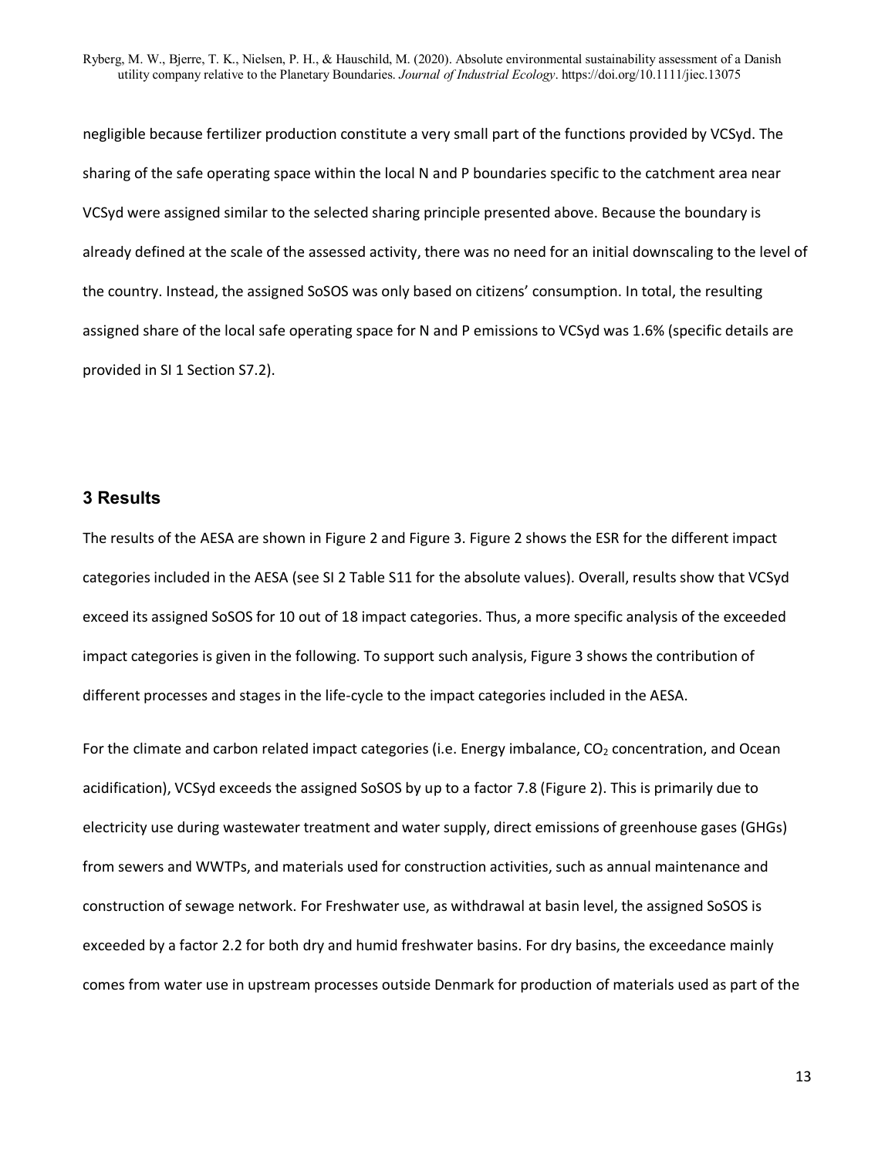negligible because fertilizer production constitute a very small part of the functions provided by VCSyd. The sharing of the safe operating space within the local N and P boundaries specific to the catchment area near VCSyd were assigned similar to the selected sharing principle presented above. Because the boundary is already defined at the scale of the assessed activity, there was no need for an initial downscaling to the level of the country. Instead, the assigned SoSOS was only based on citizens' consumption. In total, the resulting assigned share of the local safe operating space for N and P emissions to VCSyd was 1.6% (specific details are provided in SI 1 Section S7.2).

## **3 Results**

The results of the AESA are shown in [Figure 2](#page-15-0) and [Figure 3.](#page-16-0) [Figure 2](#page-15-0) shows the ESR for the different impact categories included in the AESA (see SI 2 Table S11 for the absolute values). Overall, results show that VCSyd exceed its assigned SoSOS for 10 out of 18 impact categories. Thus, a more specific analysis of the exceeded impact categories is given in the following. To support such analysis, [Figure 3](#page-16-0) shows the contribution of different processes and stages in the life-cycle to the impact categories included in the AESA.

For the climate and carbon related impact categories (i.e. Energy imbalance,  $CO<sub>2</sub>$  concentration, and Ocean acidification), VCSyd exceeds the assigned SoSOS by up to a factor 7.8 [\(Figure 2\)](#page-15-0). This is primarily due to electricity use during wastewater treatment and water supply, direct emissions of greenhouse gases (GHGs) from sewers and WWTPs, and materials used for construction activities, such as annual maintenance and construction of sewage network. For Freshwater use, as withdrawal at basin level, the assigned SoSOS is exceeded by a factor 2.2 for both dry and humid freshwater basins. For dry basins, the exceedance mainly comes from water use in upstream processes outside Denmark for production of materials used as part of the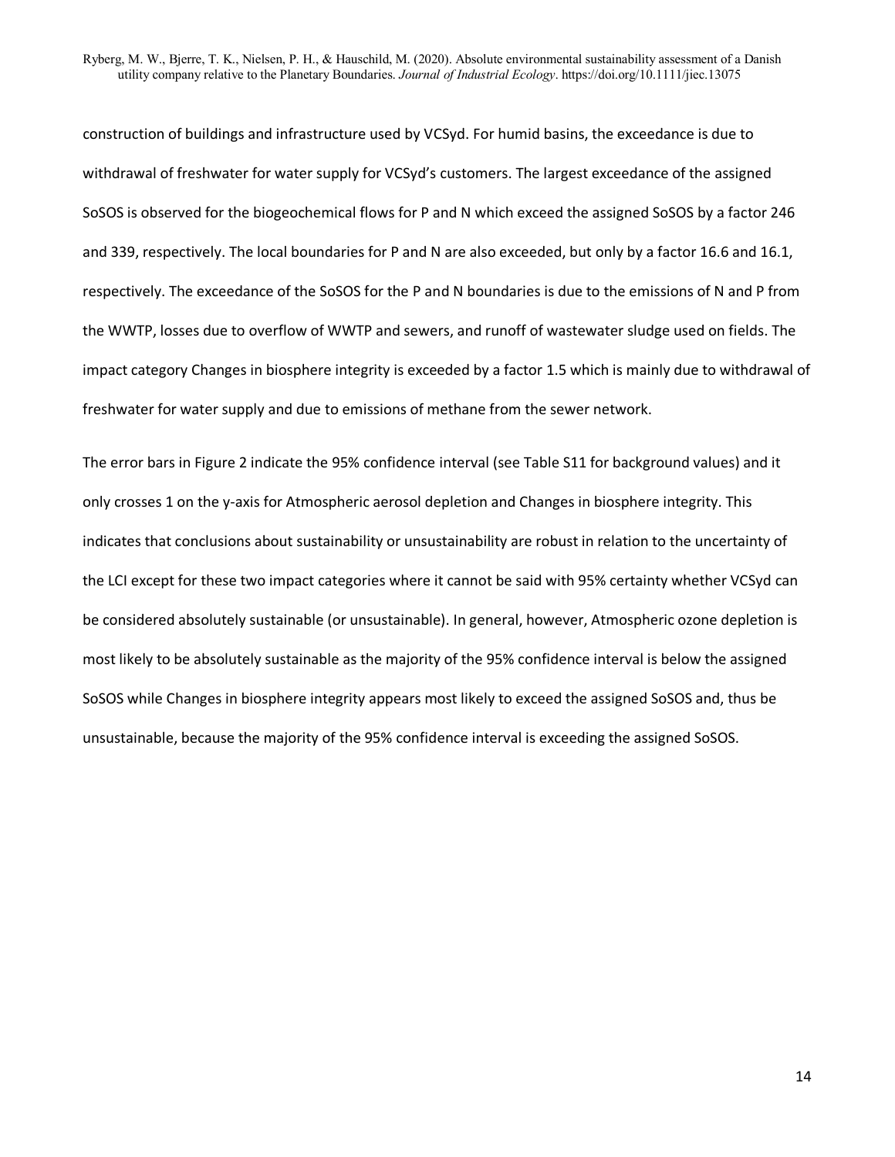construction of buildings and infrastructure used by VCSyd. For humid basins, the exceedance is due to withdrawal of freshwater for water supply for VCSyd's customers. The largest exceedance of the assigned SoSOS is observed for the biogeochemical flows for P and N which exceed the assigned SoSOS by a factor 246 and 339, respectively. The local boundaries for P and N are also exceeded, but only by a factor 16.6 and 16.1, respectively. The exceedance of the SoSOS for the P and N boundaries is due to the emissions of N and P from the WWTP, losses due to overflow of WWTP and sewers, and runoff of wastewater sludge used on fields. The impact category Changes in biosphere integrity is exceeded by a factor 1.5 which is mainly due to withdrawal of freshwater for water supply and due to emissions of methane from the sewer network.

The error bars in [Figure 2](#page-15-0) indicate the 95% confidence interval (see Table S11 for background values) and it only crosses 1 on the y-axis for Atmospheric aerosol depletion and Changes in biosphere integrity. This indicates that conclusions about sustainability or unsustainability are robust in relation to the uncertainty of the LCI except for these two impact categories where it cannot be said with 95% certainty whether VCSyd can be considered absolutely sustainable (or unsustainable). In general, however, Atmospheric ozone depletion is most likely to be absolutely sustainable as the majority of the 95% confidence interval is below the assigned SoSOS while Changes in biosphere integrity appears most likely to exceed the assigned SoSOS and, thus be unsustainable, because the majority of the 95% confidence interval is exceeding the assigned SoSOS.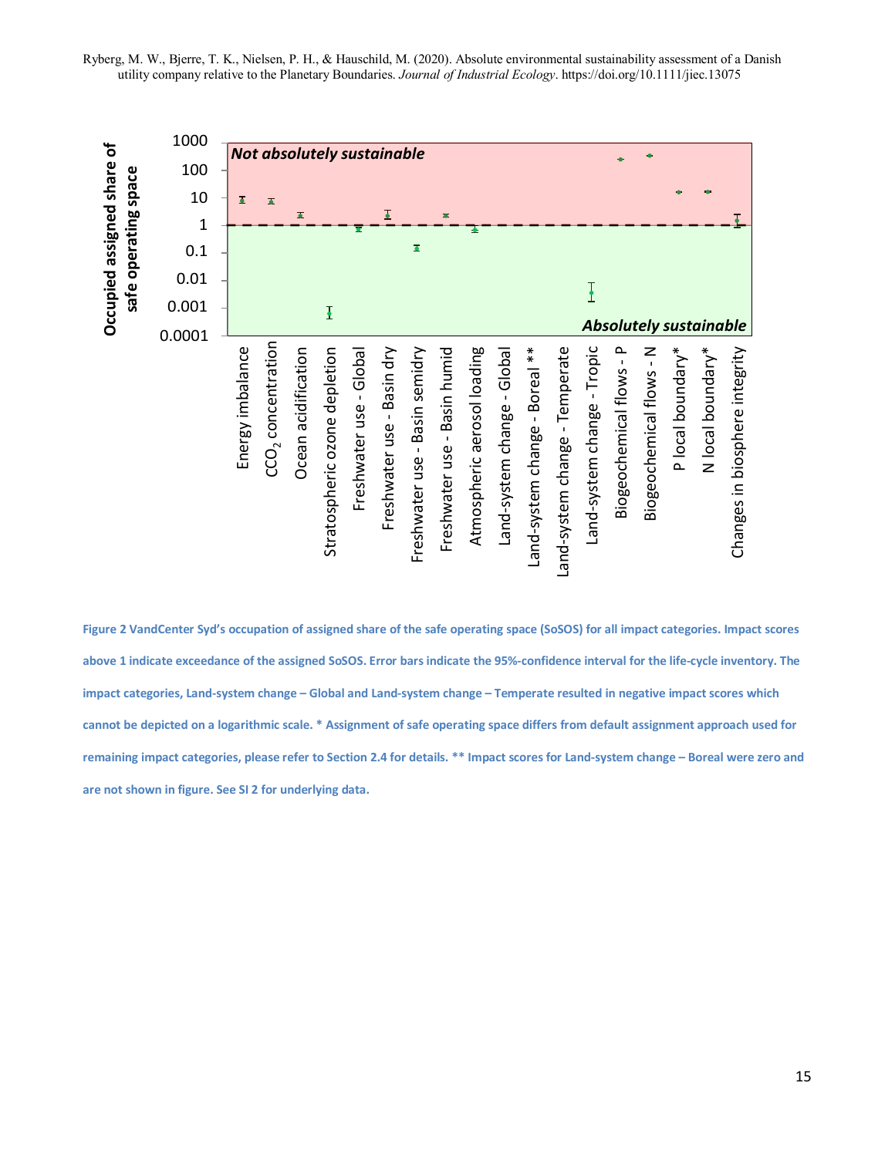

<span id="page-15-0"></span>**Figure 2 VandCenter Syd's occupation of assigned share of the safe operating space (SoSOS) for all impact categories. Impact scores above 1 indicate exceedance of the assigned SoSOS. Error bars indicate the 95%-confidence interval for the life-cycle inventory. The impact categories, Land-system change – Global and Land-system change – Temperate resulted in negative impact scores which cannot be depicted on a logarithmic scale. \* Assignment of safe operating space differs from default assignment approach used for remaining impact categories, please refer to Section 2.4 for details. \*\* Impact scores for Land-system change – Boreal were zero and are not shown in figure. See SI 2 for underlying data.**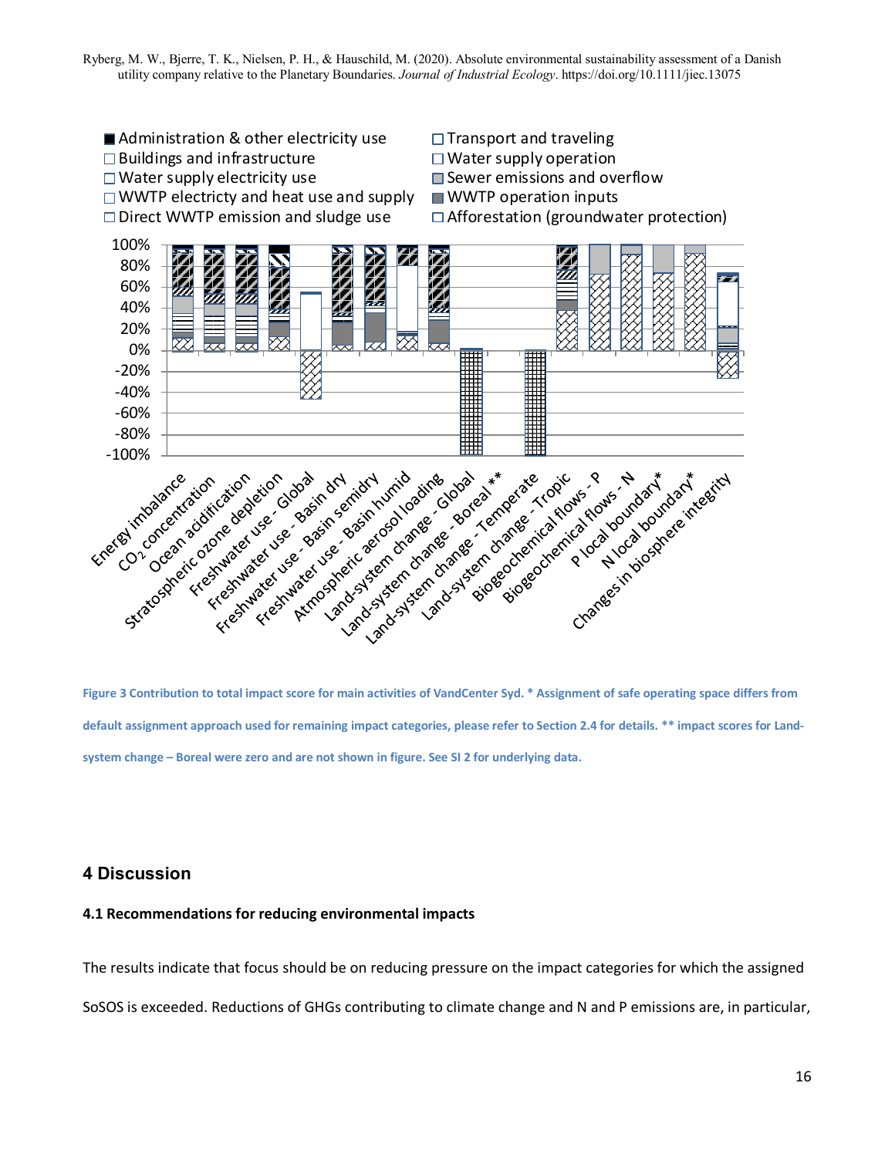

<span id="page-16-0"></span>**Figure 3 Contribution to total impact score for main activities of VandCenter Syd. \* Assignment of safe operating space differs from default assignment approach used for remaining impact categories, please refer to Section 2.4 for details. \*\* impact scores for Landsystem change – Boreal were zero and are not shown in figure. See SI 2 for underlying data.**

## **4 Discussion**

### **4.1 Recommendations for reducing environmental impacts**

The results indicate that focus should be on reducing pressure on the impact categories for which the assigned SoSOS is exceeded. Reductions of GHGs contributing to climate change and N and P emissions are, in particular,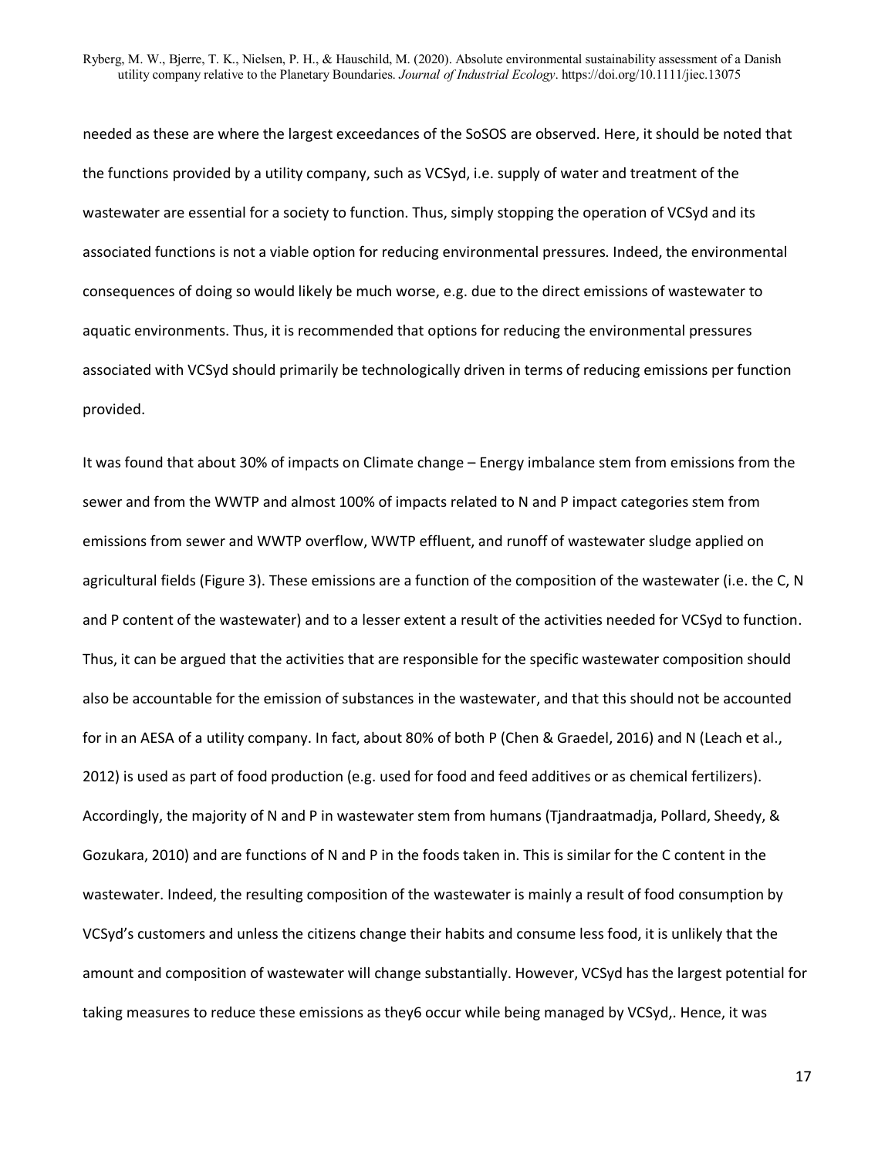needed as these are where the largest exceedances of the SoSOS are observed. Here, it should be noted that the functions provided by a utility company, such as VCSyd, i.e. supply of water and treatment of the wastewater are essential for a society to function. Thus, simply stopping the operation of VCSyd and its associated functions is not a viable option for reducing environmental pressures. Indeed, the environmental consequences of doing so would likely be much worse, e.g. due to the direct emissions of wastewater to aquatic environments. Thus, it is recommended that options for reducing the environmental pressures associated with VCSyd should primarily be technologically driven in terms of reducing emissions per function provided.

It was found that about 30% of impacts on Climate change – Energy imbalance stem from emissions from the sewer and from the WWTP and almost 100% of impacts related to N and P impact categories stem from emissions from sewer and WWTP overflow, WWTP effluent, and runoff of wastewater sludge applied on agricultural fields [\(Figure 3\)](#page-16-0). These emissions are a function of the composition of the wastewater (i.e. the C, N and P content of the wastewater) and to a lesser extent a result of the activities needed for VCSyd to function. Thus, it can be argued that the activities that are responsible for the specific wastewater composition should also be accountable for the emission of substances in the wastewater, and that this should not be accounted for in an AESA of a utility company. In fact, about 80% of both P (Chen & Graedel, 2016) and N (Leach et al., 2012) is used as part of food production (e.g. used for food and feed additives or as chemical fertilizers). Accordingly, the majority of N and P in wastewater stem from humans (Tjandraatmadja, Pollard, Sheedy, & Gozukara, 2010) and are functions of N and P in the foods taken in. This is similar for the C content in the wastewater. Indeed, the resulting composition of the wastewater is mainly a result of food consumption by VCSyd's customers and unless the citizens change their habits and consume less food, it is unlikely that the amount and composition of wastewater will change substantially. However, VCSyd has the largest potential for taking measures to reduce these emissions as they6 occur while being managed by VCSyd,. Hence, it was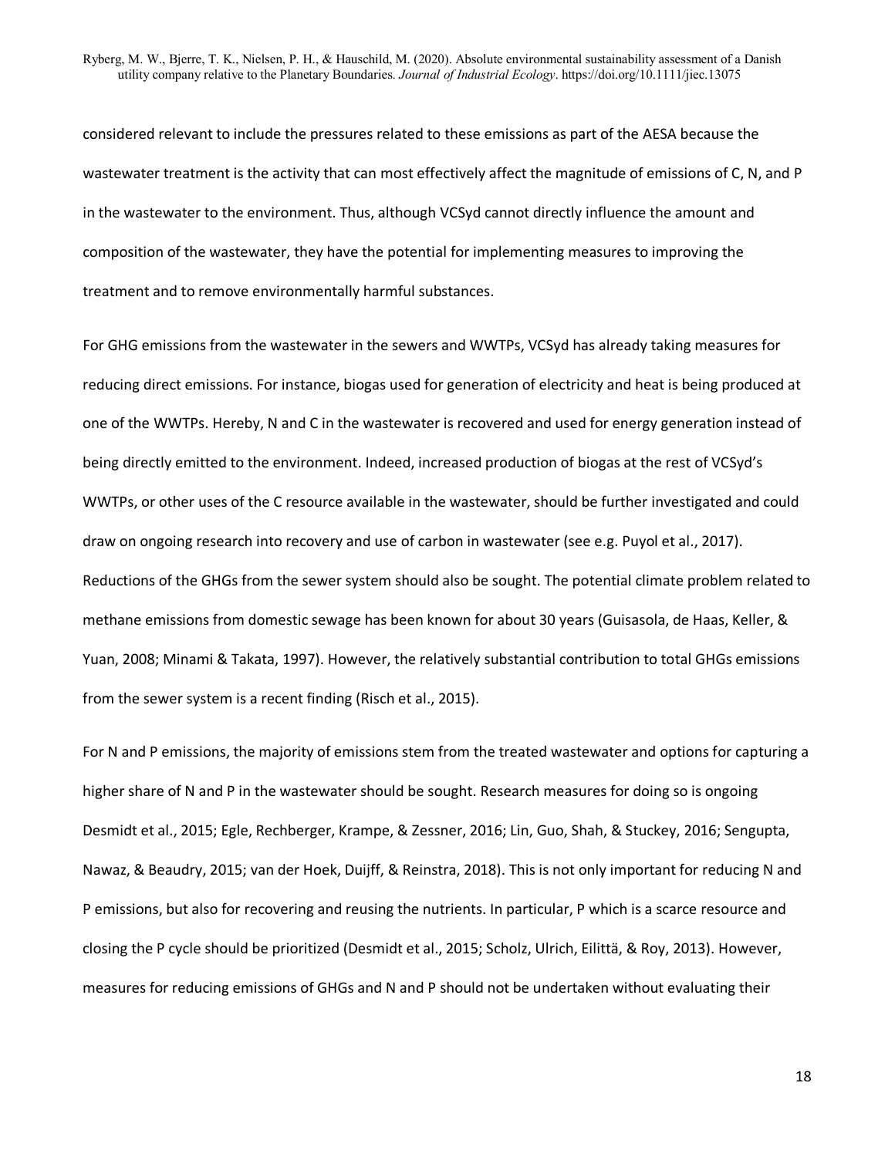considered relevant to include the pressures related to these emissions as part of the AESA because the wastewater treatment is the activity that can most effectively affect the magnitude of emissions of C, N, and P in the wastewater to the environment. Thus, although VCSyd cannot directly influence the amount and composition of the wastewater, they have the potential for implementing measures to improving the treatment and to remove environmentally harmful substances.

For GHG emissions from the wastewater in the sewers and WWTPs, VCSyd has already taking measures for reducing direct emissions. For instance, biogas used for generation of electricity and heat is being produced at one of the WWTPs. Hereby, N and C in the wastewater is recovered and used for energy generation instead of being directly emitted to the environment. Indeed, increased production of biogas at the rest of VCSyd's WWTPs, or other uses of the C resource available in the wastewater, should be further investigated and could draw on ongoing research into recovery and use of carbon in wastewater (see e.g. Puyol et al., 2017). Reductions of the GHGs from the sewer system should also be sought. The potential climate problem related to methane emissions from domestic sewage has been known for about 30 years (Guisasola, de Haas, Keller, & Yuan, 2008; Minami & Takata, 1997). However, the relatively substantial contribution to total GHGs emissions from the sewer system is a recent finding (Risch et al., 2015).

For N and P emissions, the majority of emissions stem from the treated wastewater and options for capturing a higher share of N and P in the wastewater should be sought. Research measures for doing so is ongoing Desmidt et al., 2015; Egle, Rechberger, Krampe, & Zessner, 2016; Lin, Guo, Shah, & Stuckey, 2016; Sengupta, Nawaz, & Beaudry, 2015; van der Hoek, Duijff, & Reinstra, 2018). This is not only important for reducing N and P emissions, but also for recovering and reusing the nutrients. In particular, P which is a scarce resource and closing the P cycle should be prioritized (Desmidt et al., 2015; Scholz, Ulrich, Eilittä, & Roy, 2013). However, measures for reducing emissions of GHGs and N and P should not be undertaken without evaluating their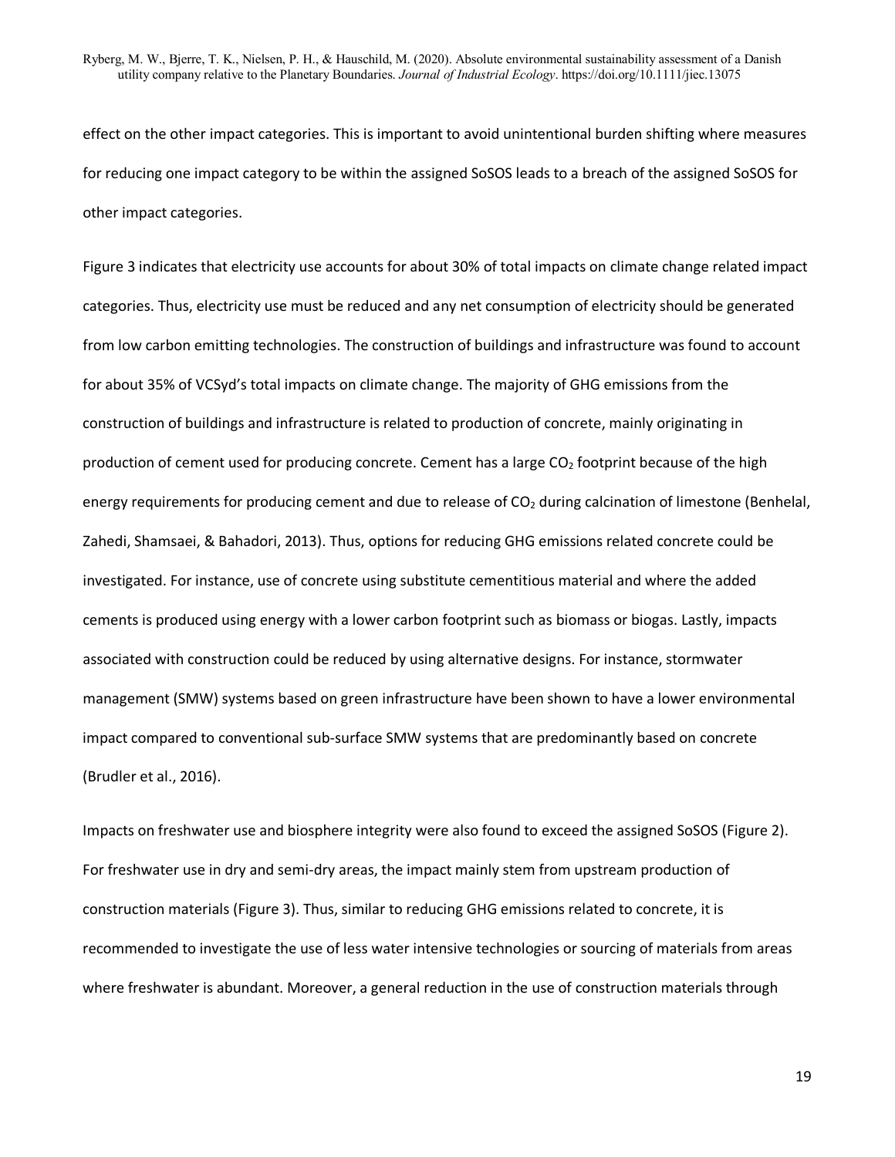effect on the other impact categories. This is important to avoid unintentional burden shifting where measures for reducing one impact category to be within the assigned SoSOS leads to a breach of the assigned SoSOS for other impact categories.

[Figure 3](#page-16-0) indicates that electricity use accounts for about 30% of total impacts on climate change related impact categories. Thus, electricity use must be reduced and any net consumption of electricity should be generated from low carbon emitting technologies. The construction of buildings and infrastructure was found to account for about 35% of VCSyd's total impacts on climate change. The majority of GHG emissions from the construction of buildings and infrastructure is related to production of concrete, mainly originating in production of cement used for producing concrete. Cement has a large  $CO<sub>2</sub>$  footprint because of the high energy requirements for producing cement and due to release of  $CO<sub>2</sub>$  during calcination of limestone (Benhelal, Zahedi, Shamsaei, & Bahadori, 2013). Thus, options for reducing GHG emissions related concrete could be investigated. For instance, use of concrete using substitute cementitious material and where the added cements is produced using energy with a lower carbon footprint such as biomass or biogas. Lastly, impacts associated with construction could be reduced by using alternative designs. For instance, stormwater management (SMW) systems based on green infrastructure have been shown to have a lower environmental impact compared to conventional sub-surface SMW systems that are predominantly based on concrete (Brudler et al., 2016).

Impacts on freshwater use and biosphere integrity were also found to exceed the assigned SoSOS [\(Figure 2\)](#page-15-0). For freshwater use in dry and semi-dry areas, the impact mainly stem from upstream production of construction materials [\(Figure 3\)](#page-16-0). Thus, similar to reducing GHG emissions related to concrete, it is recommended to investigate the use of less water intensive technologies or sourcing of materials from areas where freshwater is abundant. Moreover, a general reduction in the use of construction materials through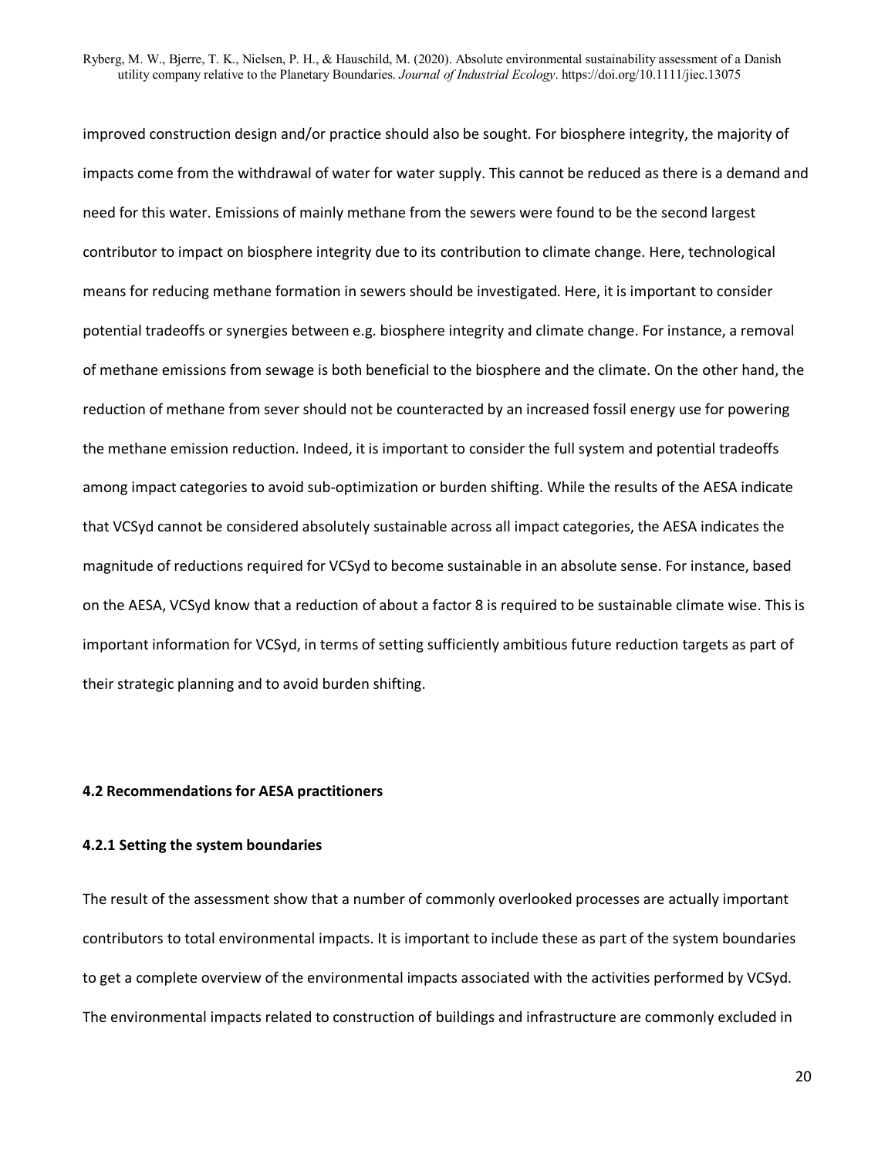improved construction design and/or practice should also be sought. For biosphere integrity, the majority of impacts come from the withdrawal of water for water supply. This cannot be reduced as there is a demand and need for this water. Emissions of mainly methane from the sewers were found to be the second largest contributor to impact on biosphere integrity due to its contribution to climate change. Here, technological means for reducing methane formation in sewers should be investigated. Here, it is important to consider potential tradeoffs or synergies between e.g. biosphere integrity and climate change. For instance, a removal of methane emissions from sewage is both beneficial to the biosphere and the climate. On the other hand, the reduction of methane from sever should not be counteracted by an increased fossil energy use for powering the methane emission reduction. Indeed, it is important to consider the full system and potential tradeoffs among impact categories to avoid sub-optimization or burden shifting. While the results of the AESA indicate that VCSyd cannot be considered absolutely sustainable across all impact categories, the AESA indicates the magnitude of reductions required for VCSyd to become sustainable in an absolute sense. For instance, based on the AESA, VCSyd know that a reduction of about a factor 8 is required to be sustainable climate wise. This is important information for VCSyd, in terms of setting sufficiently ambitious future reduction targets as part of their strategic planning and to avoid burden shifting.

#### **4.2 Recommendations for AESA practitioners**

#### **4.2.1 Setting the system boundaries**

The result of the assessment show that a number of commonly overlooked processes are actually important contributors to total environmental impacts. It is important to include these as part of the system boundaries to get a complete overview of the environmental impacts associated with the activities performed by VCSyd. The environmental impacts related to construction of buildings and infrastructure are commonly excluded in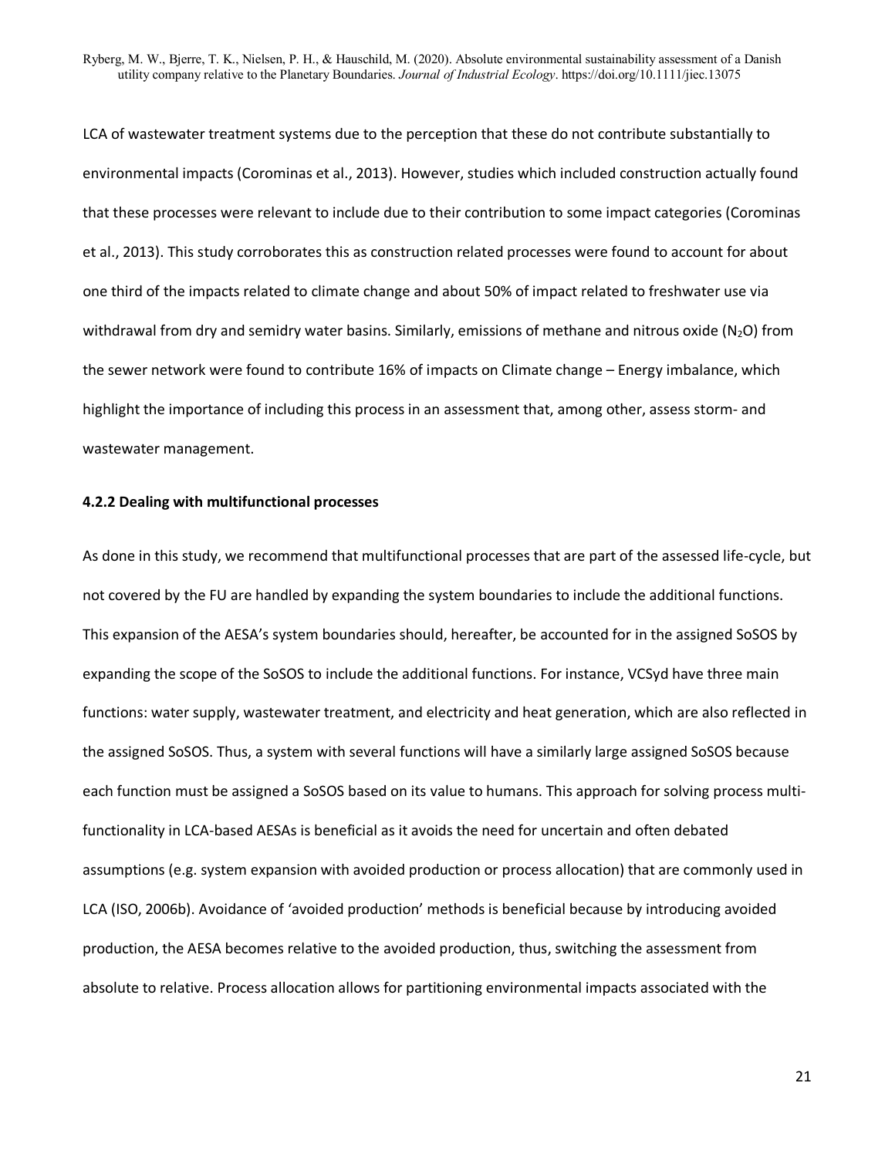LCA of wastewater treatment systems due to the perception that these do not contribute substantially to environmental impacts (Corominas et al., 2013). However, studies which included construction actually found that these processes were relevant to include due to their contribution to some impact categories (Corominas et al., 2013). This study corroborates this as construction related processes were found to account for about one third of the impacts related to climate change and about 50% of impact related to freshwater use via withdrawal from dry and semidry water basins. Similarly, emissions of methane and nitrous oxide ( $N_2O$ ) from the sewer network were found to contribute 16% of impacts on Climate change – Energy imbalance, which highlight the importance of including this process in an assessment that, among other, assess storm- and wastewater management.

#### **4.2.2 Dealing with multifunctional processes**

As done in this study, we recommend that multifunctional processes that are part of the assessed life-cycle, but not covered by the FU are handled by expanding the system boundaries to include the additional functions. This expansion of the AESA's system boundaries should, hereafter, be accounted for in the assigned SoSOS by expanding the scope of the SoSOS to include the additional functions. For instance, VCSyd have three main functions: water supply, wastewater treatment, and electricity and heat generation, which are also reflected in the assigned SoSOS. Thus, a system with several functions will have a similarly large assigned SoSOS because each function must be assigned a SoSOS based on its value to humans. This approach for solving process multifunctionality in LCA-based AESAs is beneficial as it avoids the need for uncertain and often debated assumptions (e.g. system expansion with avoided production or process allocation) that are commonly used in LCA (ISO, 2006b). Avoidance of 'avoided production' methods is beneficial because by introducing avoided production, the AESA becomes relative to the avoided production, thus, switching the assessment from absolute to relative. Process allocation allows for partitioning environmental impacts associated with the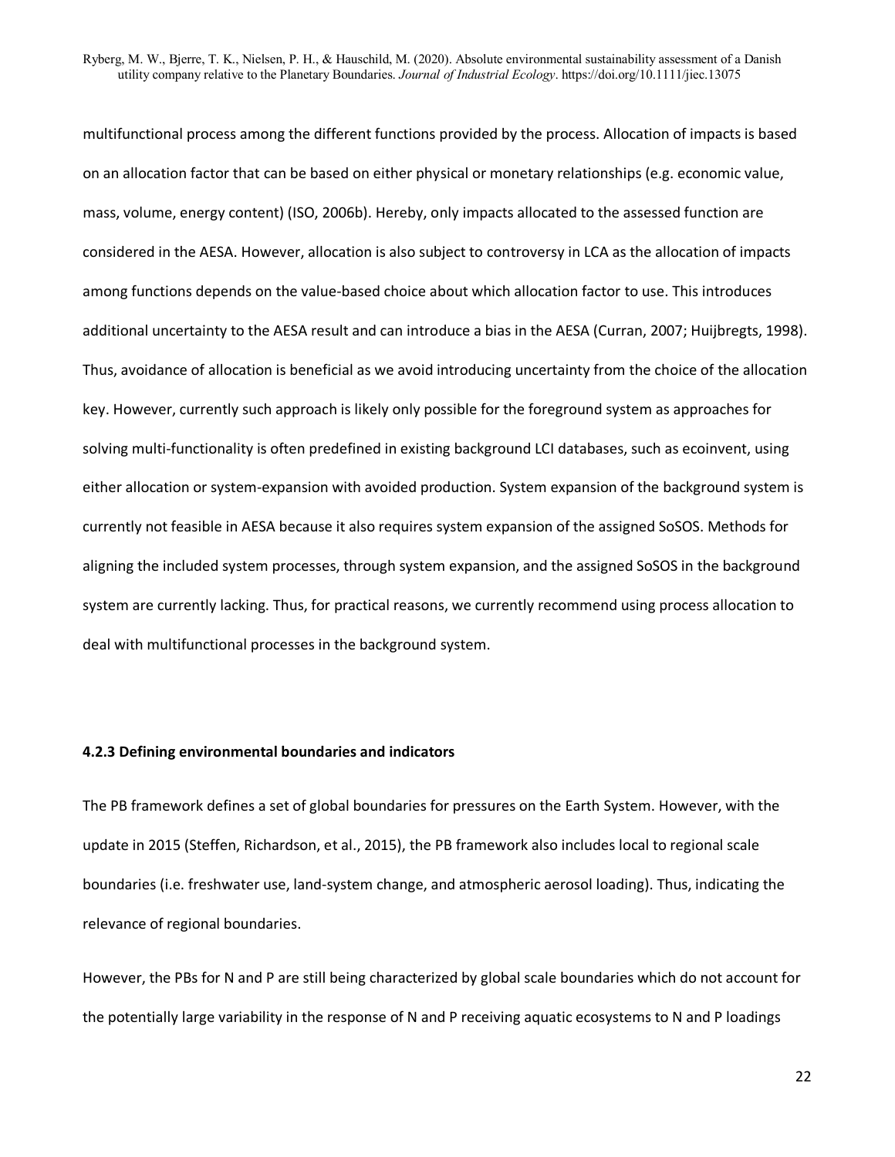multifunctional process among the different functions provided by the process. Allocation of impacts is based on an allocation factor that can be based on either physical or monetary relationships (e.g. economic value, mass, volume, energy content) (ISO, 2006b). Hereby, only impacts allocated to the assessed function are considered in the AESA. However, allocation is also subject to controversy in LCA as the allocation of impacts among functions depends on the value-based choice about which allocation factor to use. This introduces additional uncertainty to the AESA result and can introduce a bias in the AESA (Curran, 2007; Huijbregts, 1998). Thus, avoidance of allocation is beneficial as we avoid introducing uncertainty from the choice of the allocation key. However, currently such approach is likely only possible for the foreground system as approaches for solving multi-functionality is often predefined in existing background LCI databases, such as ecoinvent, using either allocation or system-expansion with avoided production. System expansion of the background system is currently not feasible in AESA because it also requires system expansion of the assigned SoSOS. Methods for aligning the included system processes, through system expansion, and the assigned SoSOS in the background system are currently lacking. Thus, for practical reasons, we currently recommend using process allocation to deal with multifunctional processes in the background system.

### **4.2.3 Defining environmental boundaries and indicators**

The PB framework defines a set of global boundaries for pressures on the Earth System. However, with the update in 2015 (Steffen, Richardson, et al., 2015), the PB framework also includes local to regional scale boundaries (i.e. freshwater use, land-system change, and atmospheric aerosol loading). Thus, indicating the relevance of regional boundaries.

However, the PBs for N and P are still being characterized by global scale boundaries which do not account for the potentially large variability in the response of N and P receiving aquatic ecosystems to N and P loadings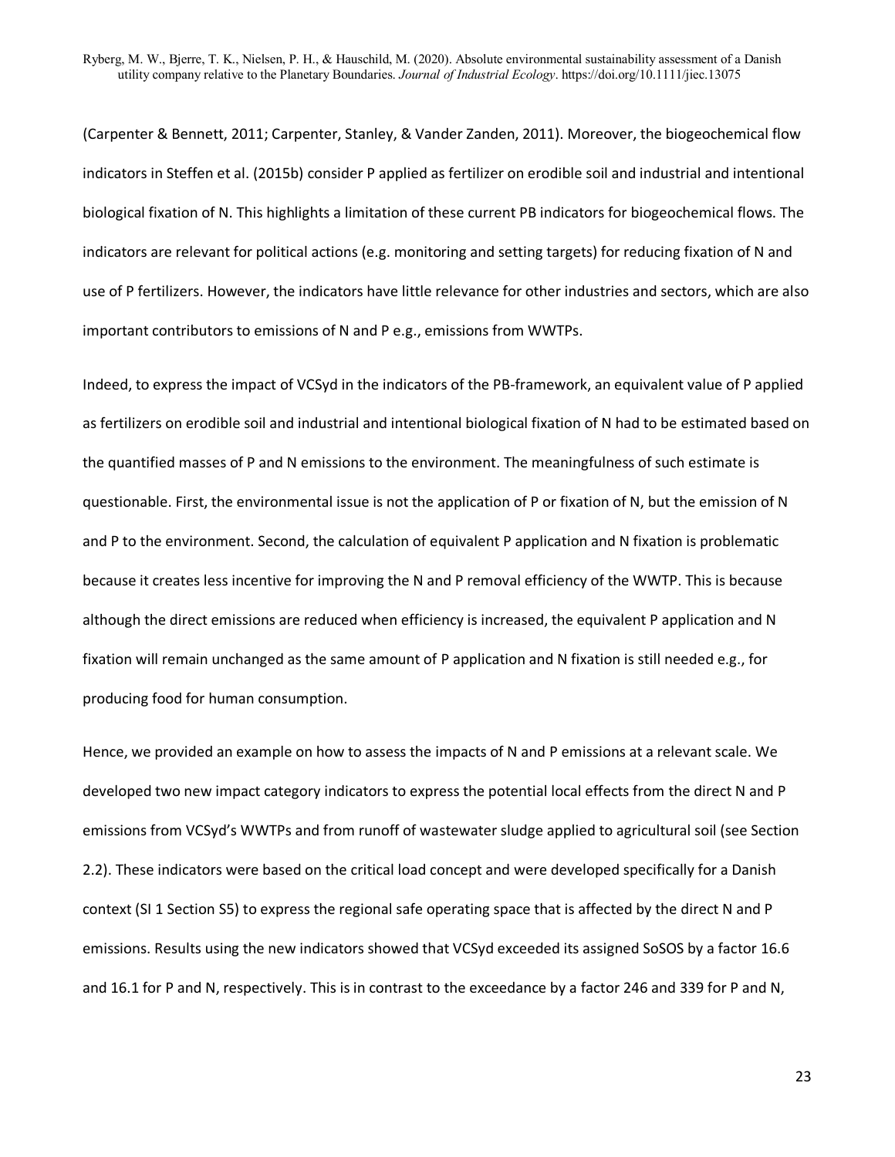(Carpenter & Bennett, 2011; Carpenter, Stanley, & Vander Zanden, 2011). Moreover, the biogeochemical flow indicators in Steffen et al. (2015b) consider P applied as fertilizer on erodible soil and industrial and intentional biological fixation of N. This highlights a limitation of these current PB indicators for biogeochemical flows. The indicators are relevant for political actions (e.g. monitoring and setting targets) for reducing fixation of N and use of P fertilizers. However, the indicators have little relevance for other industries and sectors, which are also important contributors to emissions of N and P e.g., emissions from WWTPs.

Indeed, to express the impact of VCSyd in the indicators of the PB-framework, an equivalent value of P applied as fertilizers on erodible soil and industrial and intentional biological fixation of N had to be estimated based on the quantified masses of P and N emissions to the environment. The meaningfulness of such estimate is questionable. First, the environmental issue is not the application of P or fixation of N, but the emission of N and P to the environment. Second, the calculation of equivalent P application and N fixation is problematic because it creates less incentive for improving the N and P removal efficiency of the WWTP. This is because although the direct emissions are reduced when efficiency is increased, the equivalent P application and N fixation will remain unchanged as the same amount of P application and N fixation is still needed e.g., for producing food for human consumption.

Hence, we provided an example on how to assess the impacts of N and P emissions at a relevant scale. We developed two new impact category indicators to express the potential local effects from the direct N and P emissions from VCSyd's WWTPs and from runoff of wastewater sludge applied to agricultural soil (see Section 2.2). These indicators were based on the critical load concept and were developed specifically for a Danish context (SI 1 Section S5) to express the regional safe operating space that is affected by the direct N and P emissions. Results using the new indicators showed that VCSyd exceeded its assigned SoSOS by a factor 16.6 and 16.1 for P and N, respectively. This is in contrast to the exceedance by a factor 246 and 339 for P and N,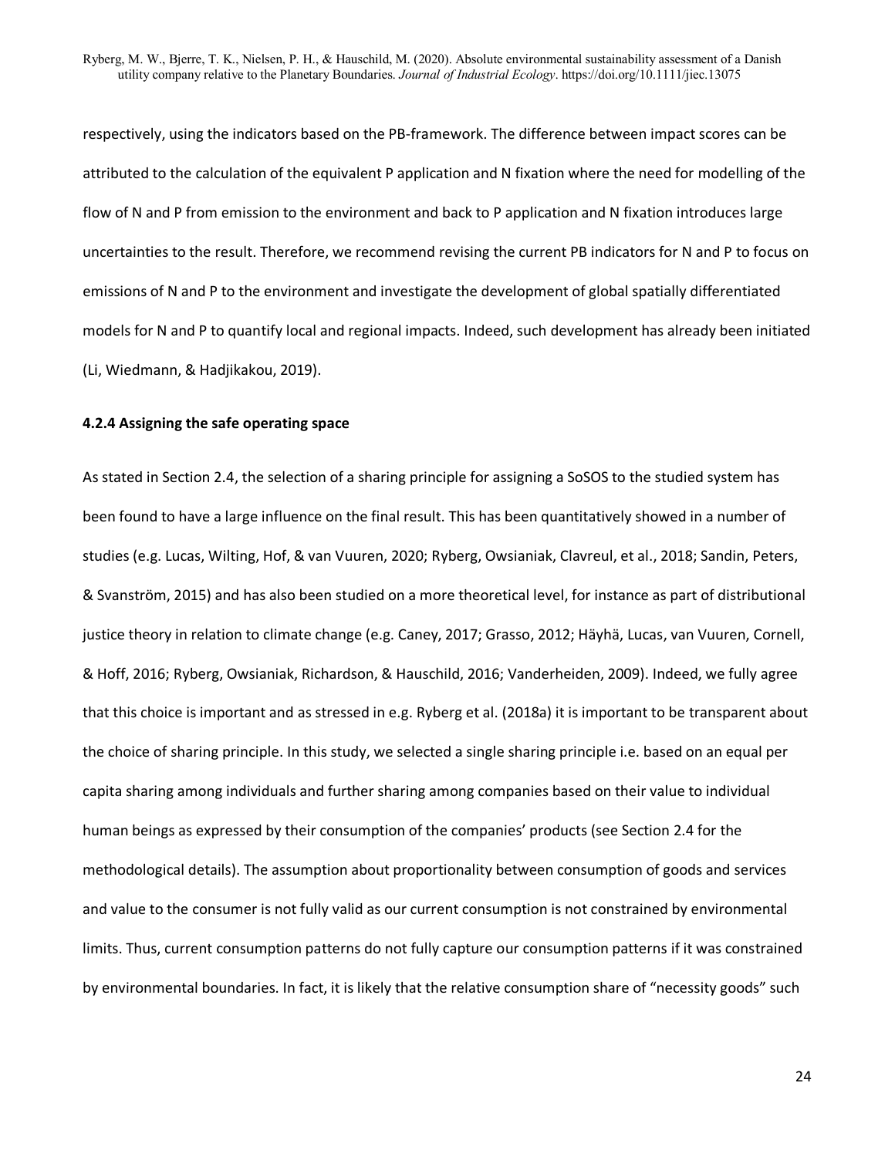respectively, using the indicators based on the PB-framework. The difference between impact scores can be attributed to the calculation of the equivalent P application and N fixation where the need for modelling of the flow of N and P from emission to the environment and back to P application and N fixation introduces large uncertainties to the result. Therefore, we recommend revising the current PB indicators for N and P to focus on emissions of N and P to the environment and investigate the development of global spatially differentiated models for N and P to quantify local and regional impacts. Indeed, such development has already been initiated (Li, Wiedmann, & Hadjikakou, 2019).

#### **4.2.4 Assigning the safe operating space**

As stated in Section 2.4, the selection of a sharing principle for assigning a SoSOS to the studied system has been found to have a large influence on the final result. This has been quantitatively showed in a number of studies (e.g. Lucas, Wilting, Hof, & van Vuuren, 2020; Ryberg, Owsianiak, Clavreul, et al., 2018; Sandin, Peters, & Svanström, 2015) and has also been studied on a more theoretical level, for instance as part of distributional justice theory in relation to climate change (e.g. Caney, 2017; Grasso, 2012; Häyhä, Lucas, van Vuuren, Cornell, & Hoff, 2016; Ryberg, Owsianiak, Richardson, & Hauschild, 2016; Vanderheiden, 2009). Indeed, we fully agree that this choice is important and as stressed in e.g. Ryberg et al. (2018a) it is important to be transparent about the choice of sharing principle. In this study, we selected a single sharing principle i.e. based on an equal per capita sharing among individuals and further sharing among companies based on their value to individual human beings as expressed by their consumption of the companies' products (see Section 2.4 for the methodological details). The assumption about proportionality between consumption of goods and services and value to the consumer is not fully valid as our current consumption is not constrained by environmental limits. Thus, current consumption patterns do not fully capture our consumption patterns if it was constrained by environmental boundaries. In fact, it is likely that the relative consumption share of "necessity goods" such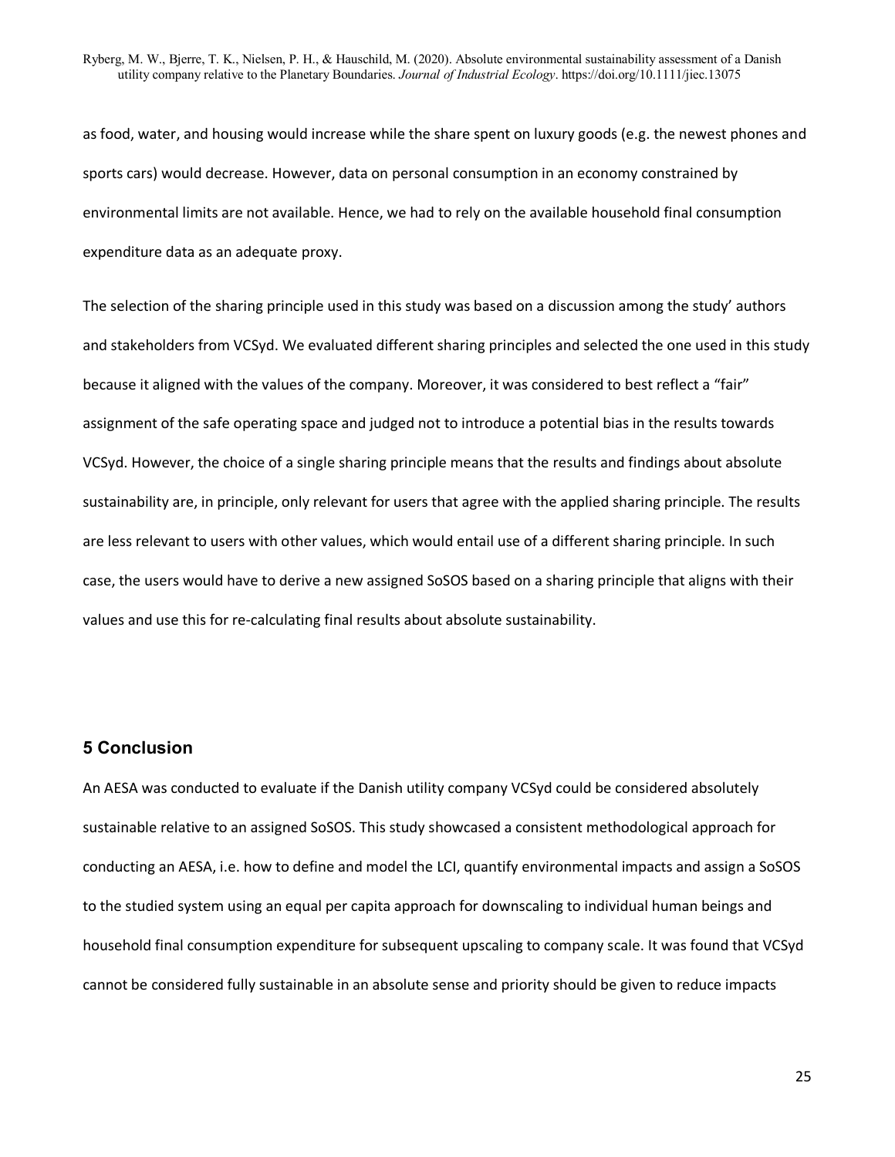as food, water, and housing would increase while the share spent on luxury goods (e.g. the newest phones and sports cars) would decrease. However, data on personal consumption in an economy constrained by environmental limits are not available. Hence, we had to rely on the available household final consumption expenditure data as an adequate proxy.

The selection of the sharing principle used in this study was based on a discussion among the study' authors and stakeholders from VCSyd. We evaluated different sharing principles and selected the one used in this study because it aligned with the values of the company. Moreover, it was considered to best reflect a "fair" assignment of the safe operating space and judged not to introduce a potential bias in the results towards VCSyd. However, the choice of a single sharing principle means that the results and findings about absolute sustainability are, in principle, only relevant for users that agree with the applied sharing principle. The results are less relevant to users with other values, which would entail use of a different sharing principle. In such case, the users would have to derive a new assigned SoSOS based on a sharing principle that aligns with their values and use this for re-calculating final results about absolute sustainability.

## **5 Conclusion**

An AESA was conducted to evaluate if the Danish utility company VCSyd could be considered absolutely sustainable relative to an assigned SoSOS. This study showcased a consistent methodological approach for conducting an AESA, i.e. how to define and model the LCI, quantify environmental impacts and assign a SoSOS to the studied system using an equal per capita approach for downscaling to individual human beings and household final consumption expenditure for subsequent upscaling to company scale. It was found that VCSyd cannot be considered fully sustainable in an absolute sense and priority should be given to reduce impacts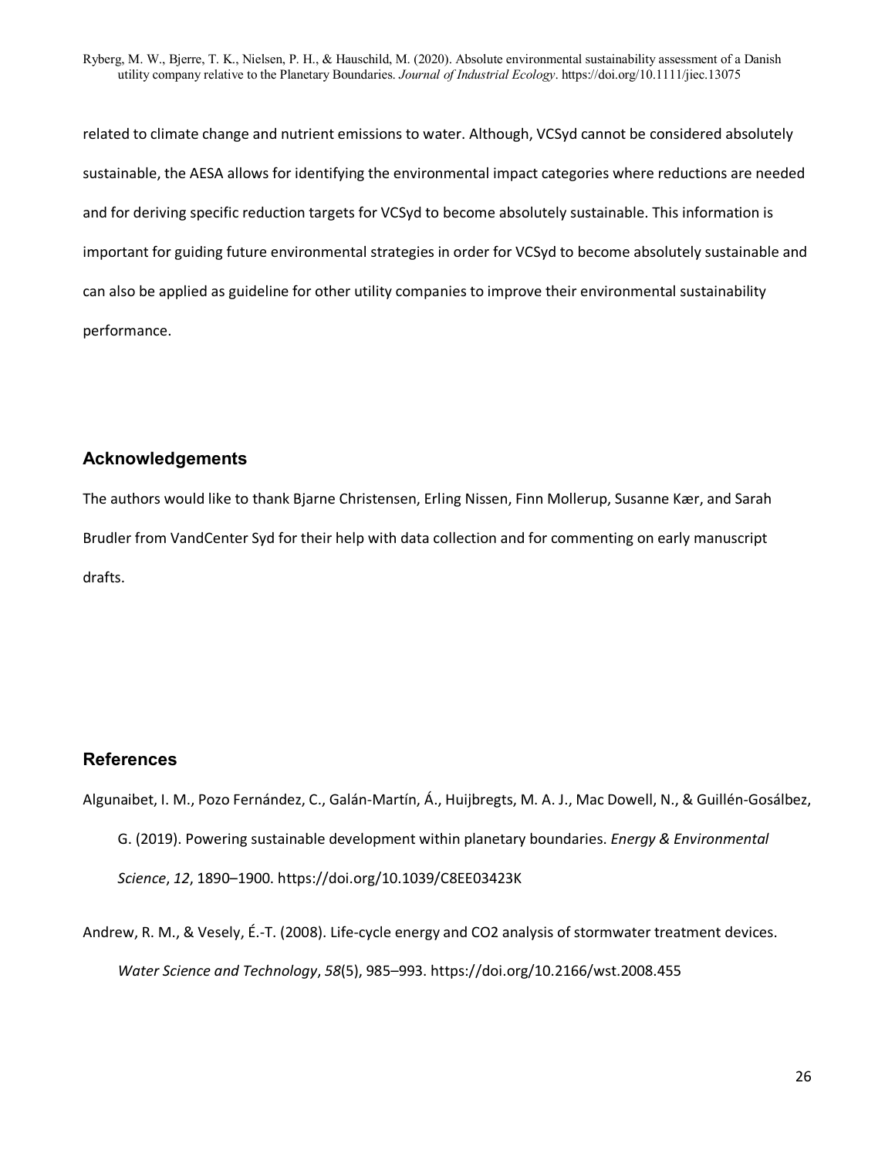related to climate change and nutrient emissions to water. Although, VCSyd cannot be considered absolutely sustainable, the AESA allows for identifying the environmental impact categories where reductions are needed and for deriving specific reduction targets for VCSyd to become absolutely sustainable. This information is important for guiding future environmental strategies in order for VCSyd to become absolutely sustainable and can also be applied as guideline for other utility companies to improve their environmental sustainability performance.

## **Acknowledgements**

The authors would like to thank Bjarne Christensen, Erling Nissen, Finn Mollerup, Susanne Kær, and Sarah Brudler from VandCenter Syd for their help with data collection and for commenting on early manuscript drafts.

## **References**

- Algunaibet, I. M., Pozo Fernández, C., Galán-Martín, Á., Huijbregts, M. A. J., Mac Dowell, N., & Guillén-Gosálbez, G. (2019). Powering sustainable development within planetary boundaries. *Energy & Environmental Science*, *12*, 1890–1900. https://doi.org/10.1039/C8EE03423K
- Andrew, R. M., & Vesely, É.-T. (2008). Life-cycle energy and CO2 analysis of stormwater treatment devices. *Water Science and Technology*, *58*(5), 985–993. https://doi.org/10.2166/wst.2008.455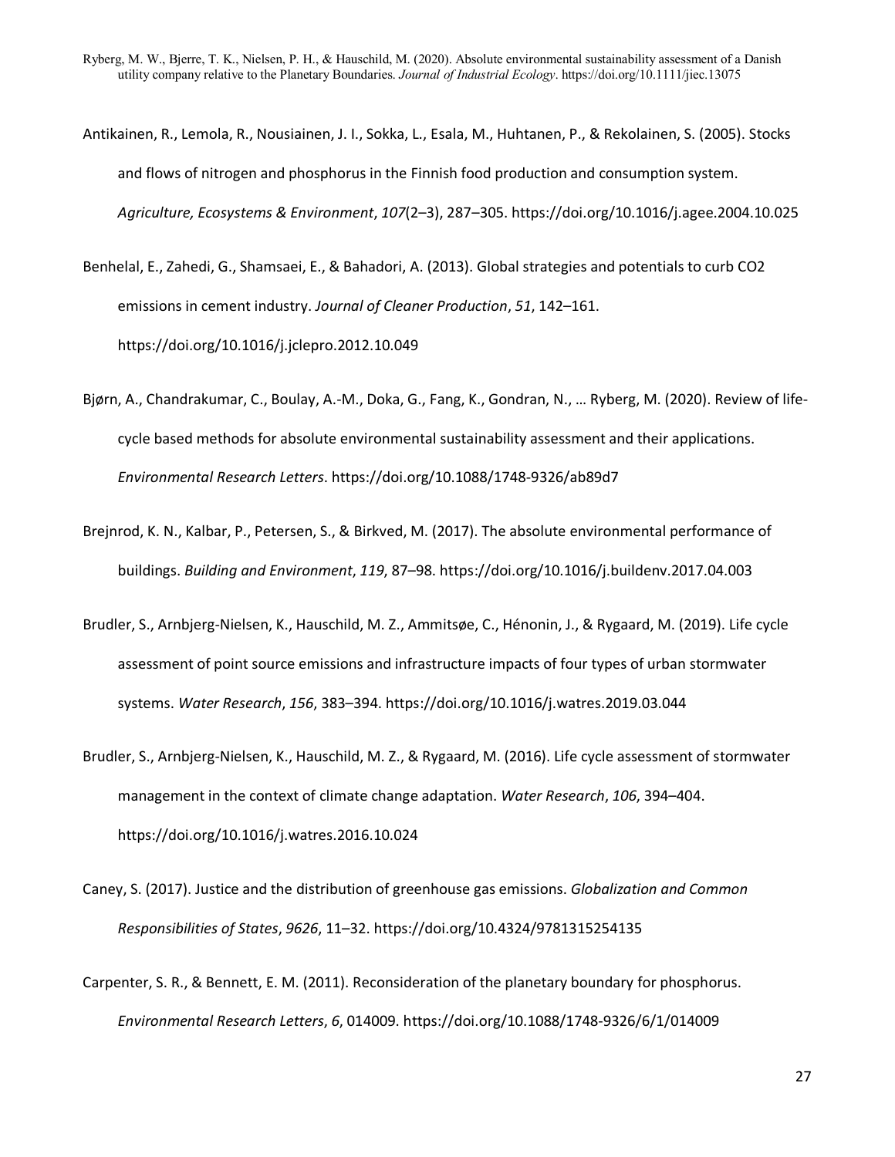- Antikainen, R., Lemola, R., Nousiainen, J. I., Sokka, L., Esala, M., Huhtanen, P., & Rekolainen, S. (2005). Stocks and flows of nitrogen and phosphorus in the Finnish food production and consumption system. *Agriculture, Ecosystems & Environment*, *107*(2–3), 287–305. https://doi.org/10.1016/j.agee.2004.10.025
- Benhelal, E., Zahedi, G., Shamsaei, E., & Bahadori, A. (2013). Global strategies and potentials to curb CO2 emissions in cement industry. *Journal of Cleaner Production*, *51*, 142–161. https://doi.org/10.1016/j.jclepro.2012.10.049
- Bjørn, A., Chandrakumar, C., Boulay, A.-M., Doka, G., Fang, K., Gondran, N., … Ryberg, M. (2020). Review of lifecycle based methods for absolute environmental sustainability assessment and their applications. *Environmental Research Letters*. https://doi.org/10.1088/1748-9326/ab89d7
- Brejnrod, K. N., Kalbar, P., Petersen, S., & Birkved, M. (2017). The absolute environmental performance of buildings. *Building and Environment*, *119*, 87–98. https://doi.org/10.1016/j.buildenv.2017.04.003
- Brudler, S., Arnbjerg-Nielsen, K., Hauschild, M. Z., Ammitsøe, C., Hénonin, J., & Rygaard, M. (2019). Life cycle assessment of point source emissions and infrastructure impacts of four types of urban stormwater systems. *Water Research*, *156*, 383–394. https://doi.org/10.1016/j.watres.2019.03.044
- Brudler, S., Arnbjerg-Nielsen, K., Hauschild, M. Z., & Rygaard, M. (2016). Life cycle assessment of stormwater management in the context of climate change adaptation. *Water Research*, *106*, 394–404. https://doi.org/10.1016/j.watres.2016.10.024
- Caney, S. (2017). Justice and the distribution of greenhouse gas emissions. *Globalization and Common Responsibilities of States*, *9626*, 11–32. https://doi.org/10.4324/9781315254135
- Carpenter, S. R., & Bennett, E. M. (2011). Reconsideration of the planetary boundary for phosphorus. *Environmental Research Letters*, *6*, 014009. https://doi.org/10.1088/1748-9326/6/1/014009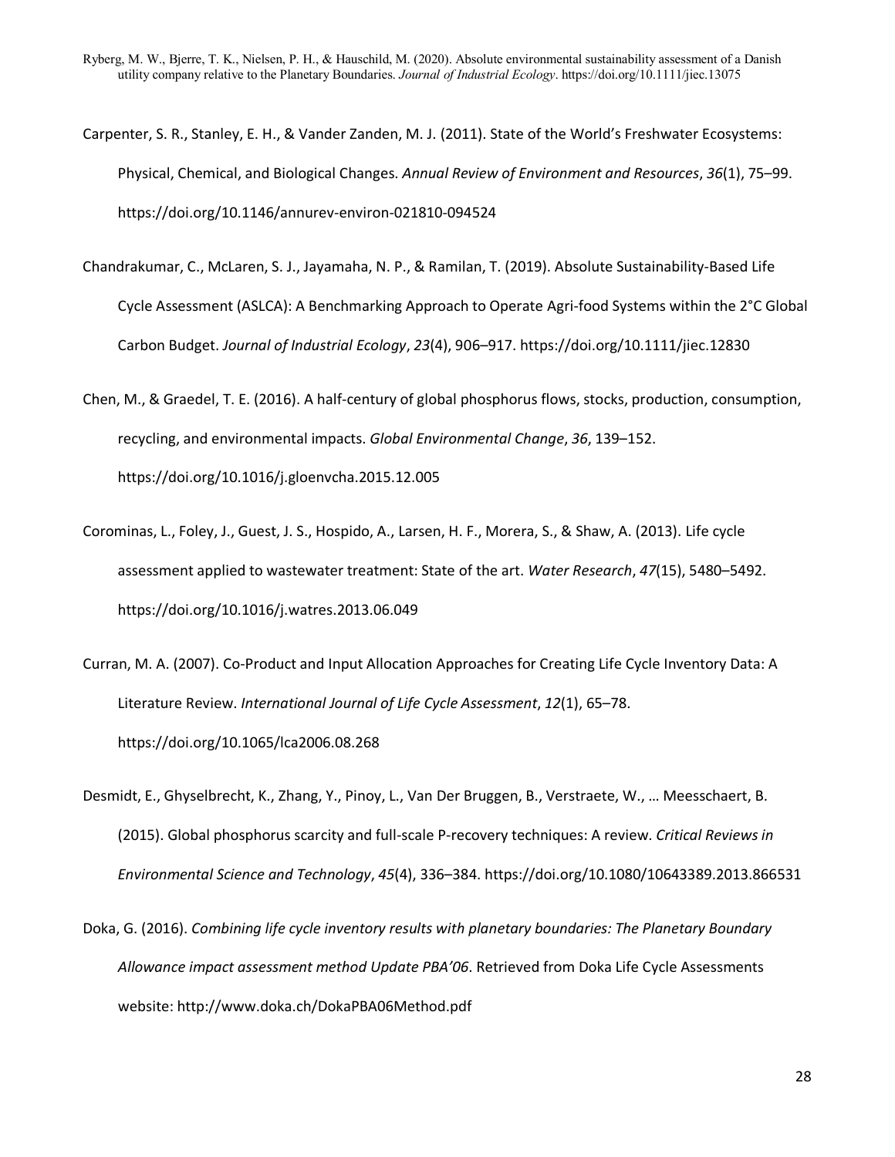- Carpenter, S. R., Stanley, E. H., & Vander Zanden, M. J. (2011). State of the World's Freshwater Ecosystems: Physical, Chemical, and Biological Changes. *Annual Review of Environment and Resources*, *36*(1), 75–99. https://doi.org/10.1146/annurev-environ-021810-094524
- Chandrakumar, C., McLaren, S. J., Jayamaha, N. P., & Ramilan, T. (2019). Absolute Sustainability-Based Life Cycle Assessment (ASLCA): A Benchmarking Approach to Operate Agri-food Systems within the 2°C Global Carbon Budget. *Journal of Industrial Ecology*, *23*(4), 906–917. https://doi.org/10.1111/jiec.12830
- Chen, M., & Graedel, T. E. (2016). A half-century of global phosphorus flows, stocks, production, consumption, recycling, and environmental impacts. *Global Environmental Change*, *36*, 139–152. https://doi.org/10.1016/j.gloenvcha.2015.12.005
- Corominas, L., Foley, J., Guest, J. S., Hospido, A., Larsen, H. F., Morera, S., & Shaw, A. (2013). Life cycle assessment applied to wastewater treatment: State of the art. *Water Research*, *47*(15), 5480–5492. https://doi.org/10.1016/j.watres.2013.06.049
- Curran, M. A. (2007). Co-Product and Input Allocation Approaches for Creating Life Cycle Inventory Data: A Literature Review. *International Journal of Life Cycle Assessment*, *12*(1), 65–78. https://doi.org/10.1065/lca2006.08.268
- Desmidt, E., Ghyselbrecht, K., Zhang, Y., Pinoy, L., Van Der Bruggen, B., Verstraete, W., … Meesschaert, B. (2015). Global phosphorus scarcity and full-scale P-recovery techniques: A review. *Critical Reviews in Environmental Science and Technology*, *45*(4), 336–384. https://doi.org/10.1080/10643389.2013.866531

Doka, G. (2016). *Combining life cycle inventory results with planetary boundaries: The Planetary Boundary Allowance impact assessment method Update PBA'06*. Retrieved from Doka Life Cycle Assessments website: http://www.doka.ch/DokaPBA06Method.pdf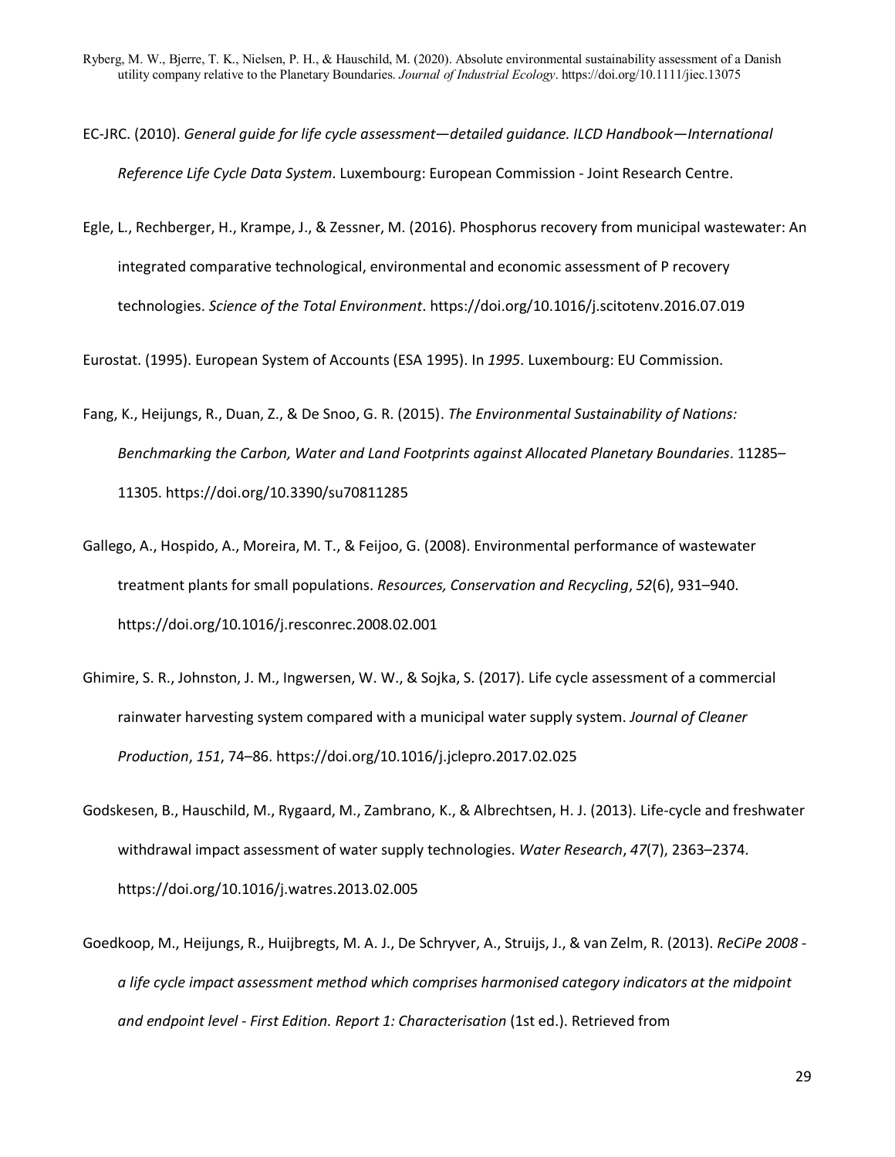- EC-JRC. (2010). *General guide for life cycle assessment—detailed guidance. ILCD Handbook—International Reference Life Cycle Data System*. Luxembourg: European Commission - Joint Research Centre.
- Egle, L., Rechberger, H., Krampe, J., & Zessner, M. (2016). Phosphorus recovery from municipal wastewater: An integrated comparative technological, environmental and economic assessment of P recovery technologies. *Science of the Total Environment*. https://doi.org/10.1016/j.scitotenv.2016.07.019

Eurostat. (1995). European System of Accounts (ESA 1995). In *1995*. Luxembourg: EU Commission.

- Fang, K., Heijungs, R., Duan, Z., & De Snoo, G. R. (2015). *The Environmental Sustainability of Nations: Benchmarking the Carbon, Water and Land Footprints against Allocated Planetary Boundaries*. 11285– 11305. https://doi.org/10.3390/su70811285
- Gallego, A., Hospido, A., Moreira, M. T., & Feijoo, G. (2008). Environmental performance of wastewater treatment plants for small populations. *Resources, Conservation and Recycling*, *52*(6), 931–940. https://doi.org/10.1016/j.resconrec.2008.02.001
- Ghimire, S. R., Johnston, J. M., Ingwersen, W. W., & Sojka, S. (2017). Life cycle assessment of a commercial rainwater harvesting system compared with a municipal water supply system. *Journal of Cleaner Production*, *151*, 74–86. https://doi.org/10.1016/j.jclepro.2017.02.025
- Godskesen, B., Hauschild, M., Rygaard, M., Zambrano, K., & Albrechtsen, H. J. (2013). Life-cycle and freshwater withdrawal impact assessment of water supply technologies. *Water Research*, *47*(7), 2363–2374. https://doi.org/10.1016/j.watres.2013.02.005
- Goedkoop, M., Heijungs, R., Huijbregts, M. A. J., De Schryver, A., Struijs, J., & van Zelm, R. (2013). *ReCiPe 2008 a life cycle impact assessment method which comprises harmonised category indicators at the midpoint and endpoint level - First Edition. Report 1: Characterisation* (1st ed.). Retrieved from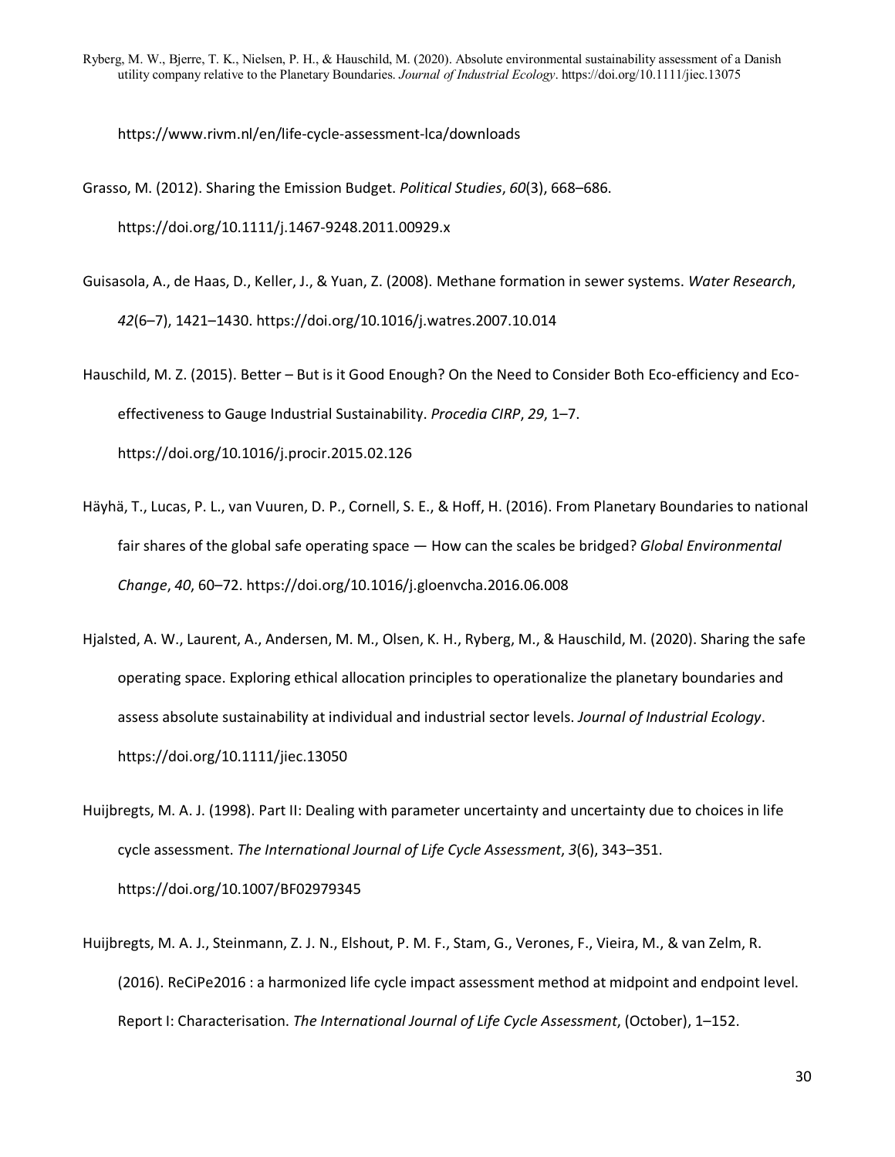https://www.rivm.nl/en/life-cycle-assessment-lca/downloads

Grasso, M. (2012). Sharing the Emission Budget. *Political Studies*, *60*(3), 668–686. https://doi.org/10.1111/j.1467-9248.2011.00929.x

Guisasola, A., de Haas, D., Keller, J., & Yuan, Z. (2008). Methane formation in sewer systems. *Water Research*, *42*(6–7), 1421–1430. https://doi.org/10.1016/j.watres.2007.10.014

Hauschild, M. Z. (2015). Better – But is it Good Enough? On the Need to Consider Both Eco-efficiency and Ecoeffectiveness to Gauge Industrial Sustainability. *Procedia CIRP*, *29*, 1–7. https://doi.org/10.1016/j.procir.2015.02.126

- Häyhä, T., Lucas, P. L., van Vuuren, D. P., Cornell, S. E., & Hoff, H. (2016). From Planetary Boundaries to national fair shares of the global safe operating space — How can the scales be bridged? *Global Environmental Change*, *40*, 60–72. https://doi.org/10.1016/j.gloenvcha.2016.06.008
- Hjalsted, A. W., Laurent, A., Andersen, M. M., Olsen, K. H., Ryberg, M., & Hauschild, M. (2020). Sharing the safe operating space. Exploring ethical allocation principles to operationalize the planetary boundaries and assess absolute sustainability at individual and industrial sector levels. *Journal of Industrial Ecology*. https://doi.org/10.1111/jiec.13050
- Huijbregts, M. A. J. (1998). Part II: Dealing with parameter uncertainty and uncertainty due to choices in life cycle assessment. *The International Journal of Life Cycle Assessment*, *3*(6), 343–351. https://doi.org/10.1007/BF02979345
- Huijbregts, M. A. J., Steinmann, Z. J. N., Elshout, P. M. F., Stam, G., Verones, F., Vieira, M., & van Zelm, R. (2016). ReCiPe2016 : a harmonized life cycle impact assessment method at midpoint and endpoint level. Report I: Characterisation. *The International Journal of Life Cycle Assessment*, (October), 1–152.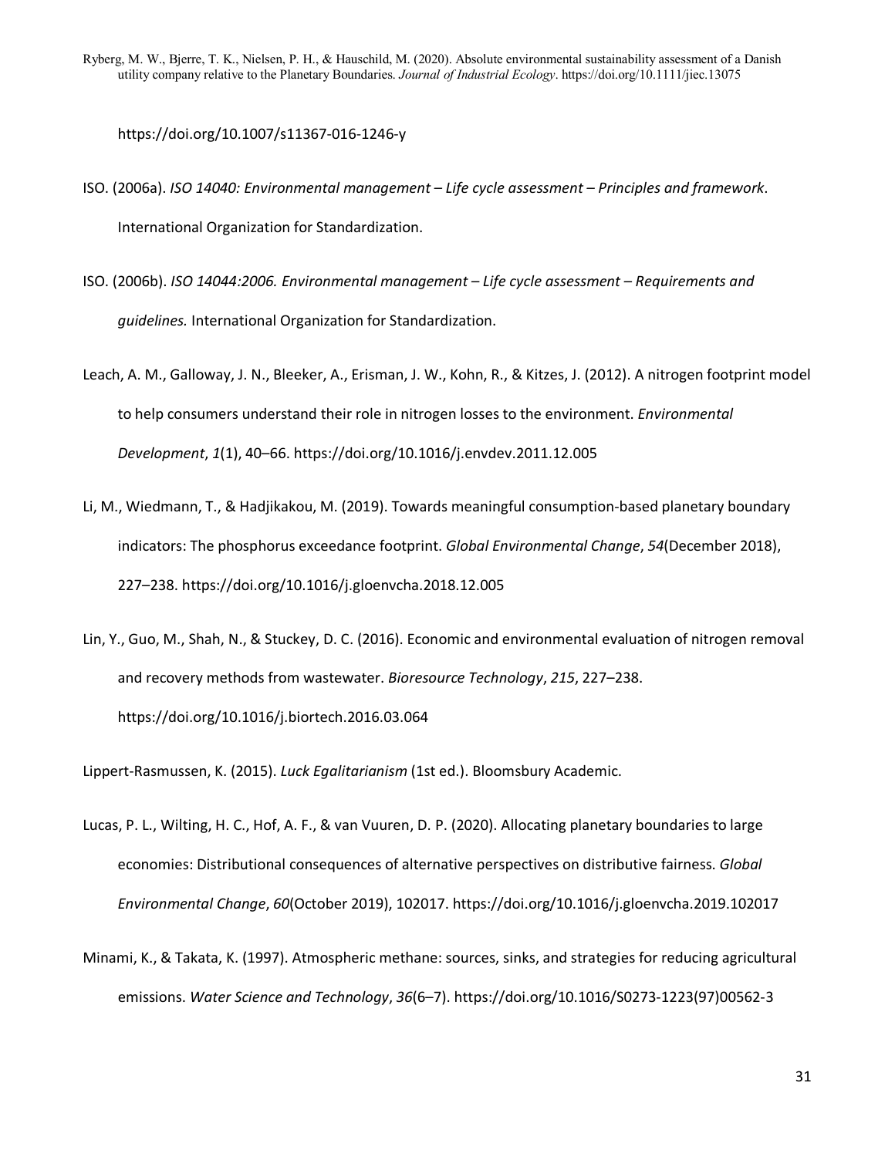https://doi.org/10.1007/s11367-016-1246-y

- ISO. (2006a). *ISO 14040: Environmental management – Life cycle assessment – Principles and framework*. International Organization for Standardization.
- ISO. (2006b). *ISO 14044:2006. Environmental management – Life cycle assessment – Requirements and guidelines.* International Organization for Standardization.
- Leach, A. M., Galloway, J. N., Bleeker, A., Erisman, J. W., Kohn, R., & Kitzes, J. (2012). A nitrogen footprint model to help consumers understand their role in nitrogen losses to the environment. *Environmental Development*, *1*(1), 40–66. https://doi.org/10.1016/j.envdev.2011.12.005
- Li, M., Wiedmann, T., & Hadjikakou, M. (2019). Towards meaningful consumption-based planetary boundary indicators: The phosphorus exceedance footprint. *Global Environmental Change*, *54*(December 2018), 227–238. https://doi.org/10.1016/j.gloenvcha.2018.12.005
- Lin, Y., Guo, M., Shah, N., & Stuckey, D. C. (2016). Economic and environmental evaluation of nitrogen removal and recovery methods from wastewater. *Bioresource Technology*, *215*, 227–238. https://doi.org/10.1016/j.biortech.2016.03.064

Lippert-Rasmussen, K. (2015). *Luck Egalitarianism* (1st ed.). Bloomsbury Academic.

- Lucas, P. L., Wilting, H. C., Hof, A. F., & van Vuuren, D. P. (2020). Allocating planetary boundaries to large economies: Distributional consequences of alternative perspectives on distributive fairness. *Global Environmental Change*, *60*(October 2019), 102017. https://doi.org/10.1016/j.gloenvcha.2019.102017
- Minami, K., & Takata, K. (1997). Atmospheric methane: sources, sinks, and strategies for reducing agricultural emissions. *Water Science and Technology*, *36*(6–7). https://doi.org/10.1016/S0273-1223(97)00562-3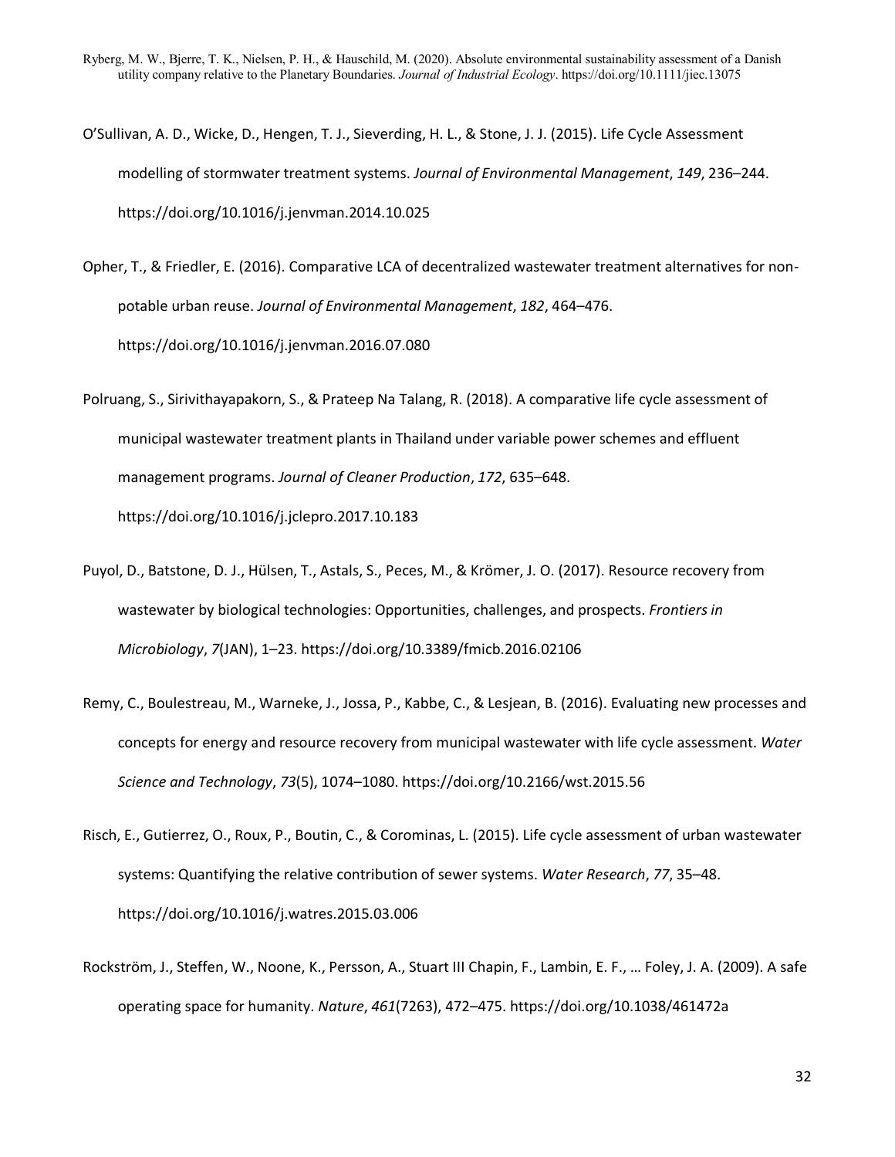- O'Sullivan, A. D., Wicke, D., Hengen, T. J., Sieverding, H. L., & Stone, J. J. (2015). Life Cycle Assessment modelling of stormwater treatment systems. *Journal of Environmental Management*, *149*, 236–244. https://doi.org/10.1016/j.jenvman.2014.10.025
- Opher, T., & Friedler, E. (2016). Comparative LCA of decentralized wastewater treatment alternatives for nonpotable urban reuse. *Journal of Environmental Management*, *182*, 464–476. https://doi.org/10.1016/j.jenvman.2016.07.080
- Polruang, S., Sirivithayapakorn, S., & Prateep Na Talang, R. (2018). A comparative life cycle assessment of municipal wastewater treatment plants in Thailand under variable power schemes and effluent management programs. *Journal of Cleaner Production*, *172*, 635–648. https://doi.org/10.1016/j.jclepro.2017.10.183
- Puyol, D., Batstone, D. J., Hülsen, T., Astals, S., Peces, M., & Krömer, J. O. (2017). Resource recovery from wastewater by biological technologies: Opportunities, challenges, and prospects. *Frontiers in Microbiology*, *7*(JAN), 1–23. https://doi.org/10.3389/fmicb.2016.02106
- Remy, C., Boulestreau, M., Warneke, J., Jossa, P., Kabbe, C., & Lesjean, B. (2016). Evaluating new processes and concepts for energy and resource recovery from municipal wastewater with life cycle assessment. *Water Science and Technology*, *73*(5), 1074–1080. https://doi.org/10.2166/wst.2015.56
- Risch, E., Gutierrez, O., Roux, P., Boutin, C., & Corominas, L. (2015). Life cycle assessment of urban wastewater systems: Quantifying the relative contribution of sewer systems. *Water Research*, *77*, 35–48. https://doi.org/10.1016/j.watres.2015.03.006
- Rockström, J., Steffen, W., Noone, K., Persson, A., Stuart III Chapin, F., Lambin, E. F., … Foley, J. A. (2009). A safe operating space for humanity. *Nature*, *461*(7263), 472–475. https://doi.org/10.1038/461472a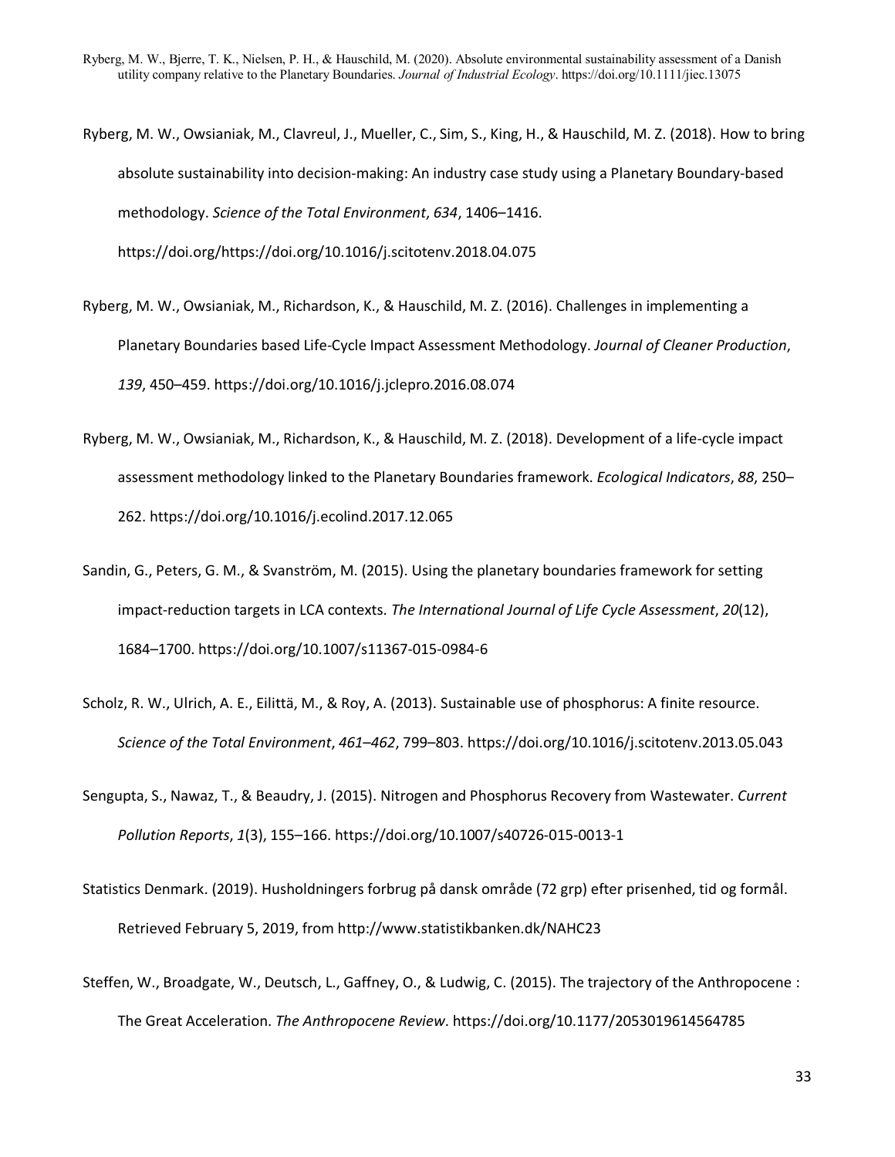- Ryberg, M. W., Owsianiak, M., Clavreul, J., Mueller, C., Sim, S., King, H., & Hauschild, M. Z. (2018). How to bring absolute sustainability into decision-making: An industry case study using a Planetary Boundary-based methodology. *Science of the Total Environment*, *634*, 1406–1416. https://doi.org/https://doi.org/10.1016/j.scitotenv.2018.04.075
- Ryberg, M. W., Owsianiak, M., Richardson, K., & Hauschild, M. Z. (2016). Challenges in implementing a Planetary Boundaries based Life-Cycle Impact Assessment Methodology. *Journal of Cleaner Production*, *139*, 450–459. https://doi.org/10.1016/j.jclepro.2016.08.074
- Ryberg, M. W., Owsianiak, M., Richardson, K., & Hauschild, M. Z. (2018). Development of a life-cycle impact assessment methodology linked to the Planetary Boundaries framework. *Ecological Indicators*, *88*, 250– 262. https://doi.org/10.1016/j.ecolind.2017.12.065
- Sandin, G., Peters, G. M., & Svanström, M. (2015). Using the planetary boundaries framework for setting impact-reduction targets in LCA contexts. *The International Journal of Life Cycle Assessment*, *20*(12), 1684–1700. https://doi.org/10.1007/s11367-015-0984-6
- Scholz, R. W., Ulrich, A. E., Eilittä, M., & Roy, A. (2013). Sustainable use of phosphorus: A finite resource. *Science of the Total Environment*, *461*–*462*, 799–803. https://doi.org/10.1016/j.scitotenv.2013.05.043
- Sengupta, S., Nawaz, T., & Beaudry, J. (2015). Nitrogen and Phosphorus Recovery from Wastewater. *Current Pollution Reports*, *1*(3), 155–166. https://doi.org/10.1007/s40726-015-0013-1
- Statistics Denmark. (2019). Husholdningers forbrug på dansk område (72 grp) efter prisenhed, tid og formål. Retrieved February 5, 2019, from http://www.statistikbanken.dk/NAHC23
- Steffen, W., Broadgate, W., Deutsch, L., Gaffney, O., & Ludwig, C. (2015). The trajectory of the Anthropocene : The Great Acceleration. *The Anthropocene Review*. https://doi.org/10.1177/2053019614564785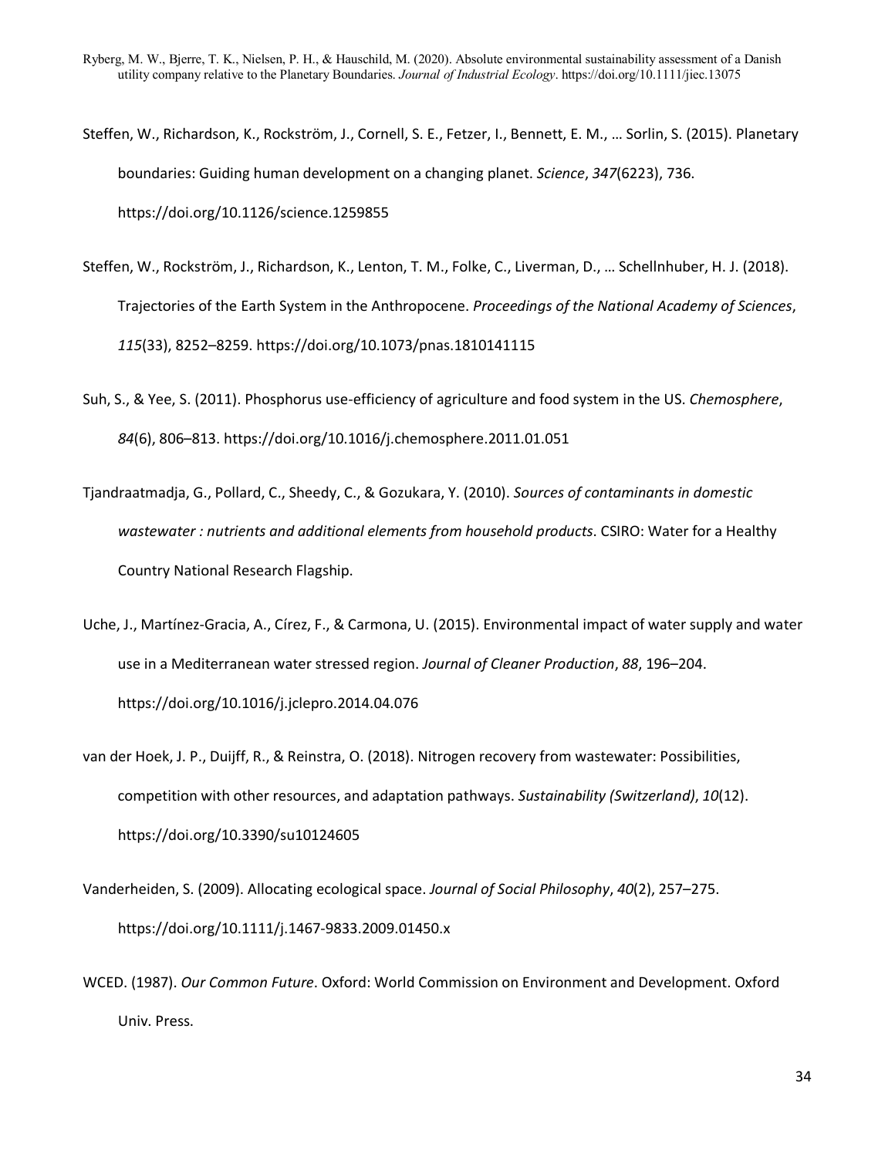- Steffen, W., Richardson, K., Rockström, J., Cornell, S. E., Fetzer, I., Bennett, E. M., … Sorlin, S. (2015). Planetary boundaries: Guiding human development on a changing planet. *Science*, *347*(6223), 736. https://doi.org/10.1126/science.1259855
- Steffen, W., Rockström, J., Richardson, K., Lenton, T. M., Folke, C., Liverman, D., … Schellnhuber, H. J. (2018). Trajectories of the Earth System in the Anthropocene. *Proceedings of the National Academy of Sciences*, *115*(33), 8252–8259. https://doi.org/10.1073/pnas.1810141115
- Suh, S., & Yee, S. (2011). Phosphorus use-efficiency of agriculture and food system in the US. *Chemosphere*, *84*(6), 806–813. https://doi.org/10.1016/j.chemosphere.2011.01.051
- Tjandraatmadja, G., Pollard, C., Sheedy, C., & Gozukara, Y. (2010). *Sources of contaminants in domestic wastewater : nutrients and additional elements from household products*. CSIRO: Water for a Healthy Country National Research Flagship.
- Uche, J., Martínez-Gracia, A., Círez, F., & Carmona, U. (2015). Environmental impact of water supply and water use in a Mediterranean water stressed region. *Journal of Cleaner Production*, *88*, 196–204. https://doi.org/10.1016/j.jclepro.2014.04.076
- van der Hoek, J. P., Duijff, R., & Reinstra, O. (2018). Nitrogen recovery from wastewater: Possibilities, competition with other resources, and adaptation pathways. *Sustainability (Switzerland)*, *10*(12). https://doi.org/10.3390/su10124605
- Vanderheiden, S. (2009). Allocating ecological space. *Journal of Social Philosophy*, *40*(2), 257–275. https://doi.org/10.1111/j.1467-9833.2009.01450.x
- WCED. (1987). *Our Common Future*. Oxford: World Commission on Environment and Development. Oxford Univ. Press.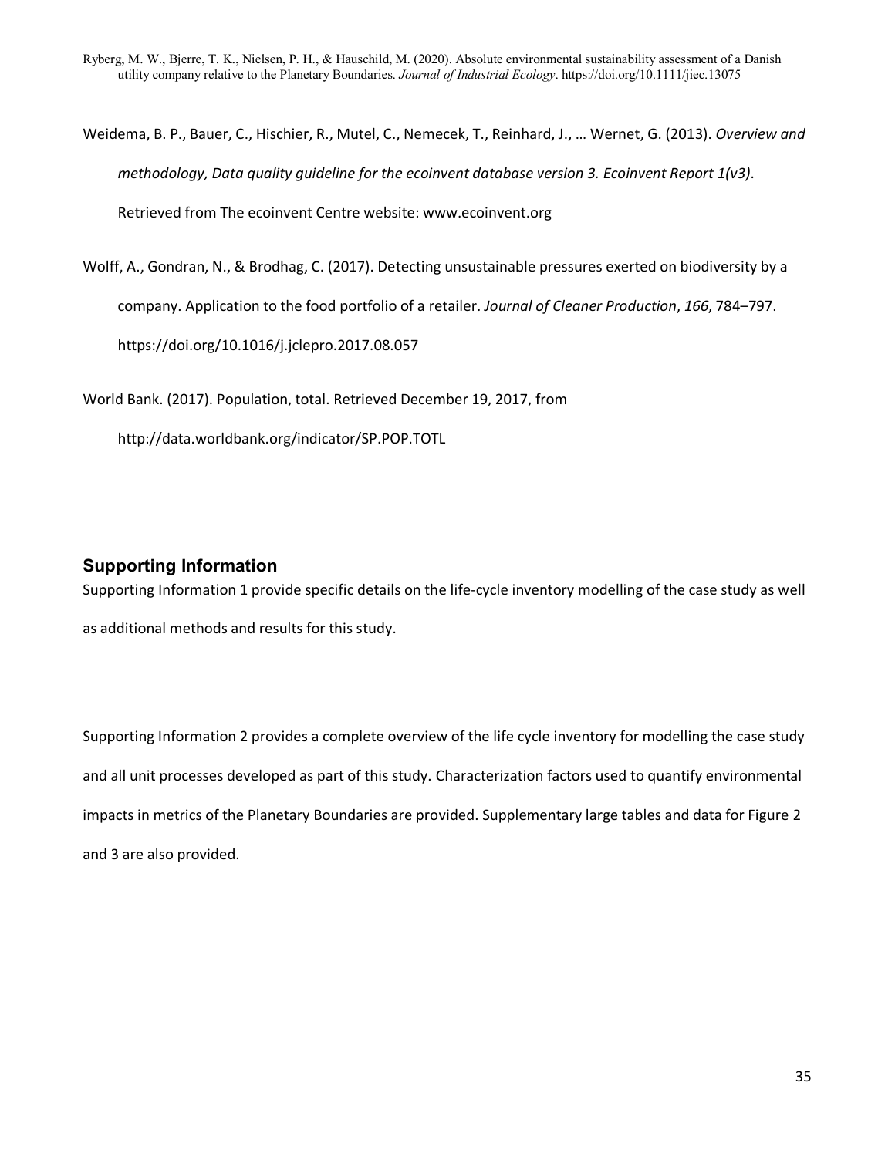Weidema, B. P., Bauer, C., Hischier, R., Mutel, C., Nemecek, T., Reinhard, J., … Wernet, G. (2013). *Overview and methodology, Data quality guideline for the ecoinvent database version 3. Ecoinvent Report 1(v3)*. Retrieved from The ecoinvent Centre website: www.ecoinvent.org

Wolff, A., Gondran, N., & Brodhag, C. (2017). Detecting unsustainable pressures exerted on biodiversity by a company. Application to the food portfolio of a retailer. *Journal of Cleaner Production*, *166*, 784–797. https://doi.org/10.1016/j.jclepro.2017.08.057

World Bank. (2017). Population, total. Retrieved December 19, 2017, from

http://data.worldbank.org/indicator/SP.POP.TOTL

## **Supporting Information**

Supporting Information 1 provide specific details on the life-cycle inventory modelling of the case study as well as additional methods and results for this study.

Supporting Information 2 provides a complete overview of the life cycle inventory for modelling the case study and all unit processes developed as part of this study. Characterization factors used to quantify environmental impacts in metrics of the Planetary Boundaries are provided. Supplementary large tables and data for Figure 2 and 3 are also provided.